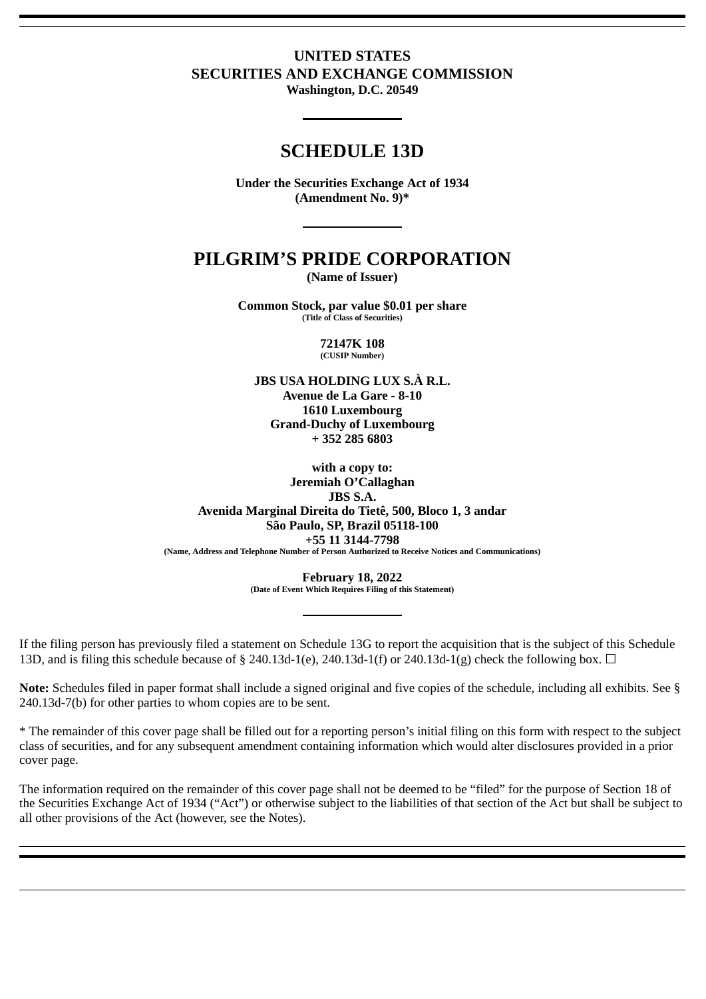# **UNITED STATES SECURITIES AND EXCHANGE COMMISSION**

**Washington, D.C. 20549**

## **SCHEDULE 13D**

**Under the Securities Exchange Act of 1934 (Amendment No. 9)\***

# **PILGRIM'S PRIDE CORPORATION**

**(Name of Issuer)**

**Common Stock, par value \$0.01 per share (Title of Class of Securities)**

> **72147K 108 (CUSIP Number)**

**JBS USA HOLDING LUX S.À R.L.**

**Avenue de La Gare - 8-10 1610 Luxembourg Grand-Duchy of Luxembourg + 352 285 6803**

**with a copy to: Jeremiah O'Callaghan JBS S.A. Avenida Marginal Direita do Tietê, 500, Bloco 1, 3 andar São Paulo, SP, Brazil 05118-100 +55 11 3144-7798 (Name, Address and Telephone Number of Person Authorized to Receive Notices and Communications)**

> **February 18, 2022 (Date of Event Which Requires Filing of this Statement)**

If the filing person has previously filed a statement on Schedule 13G to report the acquisition that is the subject of this Schedule 13D, and is filing this schedule because of § 240.13d-1(e), 240.13d-1(f) or 240.13d-1(g) check the following box.  $\Box$ 

**Note:** Schedules filed in paper format shall include a signed original and five copies of the schedule, including all exhibits. See § 240.13d-7(b) for other parties to whom copies are to be sent.

\* The remainder of this cover page shall be filled out for a reporting person's initial filing on this form with respect to the subject class of securities, and for any subsequent amendment containing information which would alter disclosures provided in a prior cover page.

The information required on the remainder of this cover page shall not be deemed to be "filed" for the purpose of Section 18 of the Securities Exchange Act of 1934 ("Act") or otherwise subject to the liabilities of that section of the Act but shall be subject to all other provisions of the Act (however, see the Notes).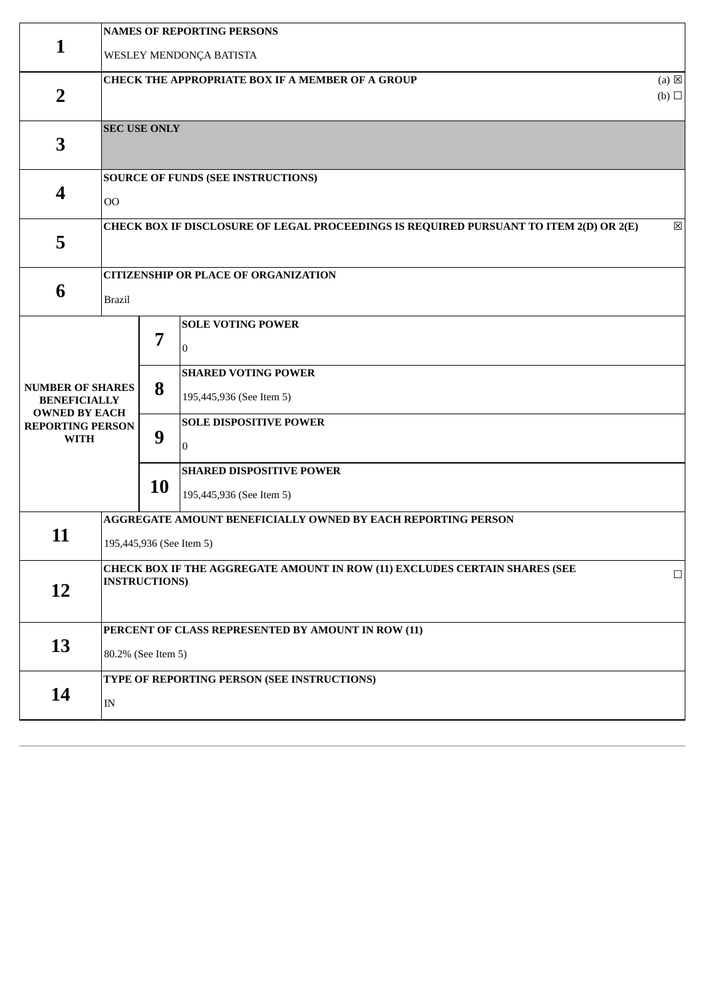|                                                                                                                  | <b>NAMES OF REPORTING PERSONS</b>                                                                  |                          |                                                                                                                                       |             |  |  |  |  |
|------------------------------------------------------------------------------------------------------------------|----------------------------------------------------------------------------------------------------|--------------------------|---------------------------------------------------------------------------------------------------------------------------------------|-------------|--|--|--|--|
| 1                                                                                                                | WESLEY MENDONÇA BATISTA                                                                            |                          |                                                                                                                                       |             |  |  |  |  |
| $\overline{2}$                                                                                                   | CHECK THE APPROPRIATE BOX IF A MEMBER OF A GROUP                                                   |                          |                                                                                                                                       |             |  |  |  |  |
| 3                                                                                                                |                                                                                                    | <b>SEC USE ONLY</b>      |                                                                                                                                       |             |  |  |  |  |
| $\overline{\mathbf{4}}$                                                                                          | 00                                                                                                 |                          | <b>SOURCE OF FUNDS (SEE INSTRUCTIONS)</b>                                                                                             |             |  |  |  |  |
| 5                                                                                                                |                                                                                                    |                          | CHECK BOX IF DISCLOSURE OF LEGAL PROCEEDINGS IS REQUIRED PURSUANT TO ITEM 2(D) OR 2(E)                                                | $\boxtimes$ |  |  |  |  |
| 6                                                                                                                | <b>Brazil</b>                                                                                      |                          | <b>CITIZENSHIP OR PLACE OF ORGANIZATION</b>                                                                                           |             |  |  |  |  |
| <b>NUMBER OF SHARES</b><br><b>BENEFICIALLY</b><br><b>OWNED BY EACH</b><br><b>REPORTING PERSON</b><br><b>WITH</b> |                                                                                                    | 7<br>8<br>9              | <b>SOLE VOTING POWER</b><br>10<br><b>SHARED VOTING POWER</b><br>195,445,936 (See Item 5)<br><b>SOLE DISPOSITIVE POWER</b><br>$\theta$ |             |  |  |  |  |
|                                                                                                                  |                                                                                                    | <b>10</b>                | <b>SHARED DISPOSITIVE POWER</b><br>195,445,936 (See Item 5)                                                                           |             |  |  |  |  |
| 11                                                                                                               |                                                                                                    | 195,445,936 (See Item 5) | AGGREGATE AMOUNT BENEFICIALLY OWNED BY EACH REPORTING PERSON                                                                          |             |  |  |  |  |
| 12                                                                                                               | CHECK BOX IF THE AGGREGATE AMOUNT IN ROW (11) EXCLUDES CERTAIN SHARES (SEE<br><b>INSTRUCTIONS)</b> |                          |                                                                                                                                       | $\Box$      |  |  |  |  |
| 13                                                                                                               | PERCENT OF CLASS REPRESENTED BY AMOUNT IN ROW (11)<br>80.2% (See Item 5)                           |                          |                                                                                                                                       |             |  |  |  |  |
| 14                                                                                                               | $\ensuremath{\text{IN}}$                                                                           |                          | TYPE OF REPORTING PERSON (SEE INSTRUCTIONS)                                                                                           |             |  |  |  |  |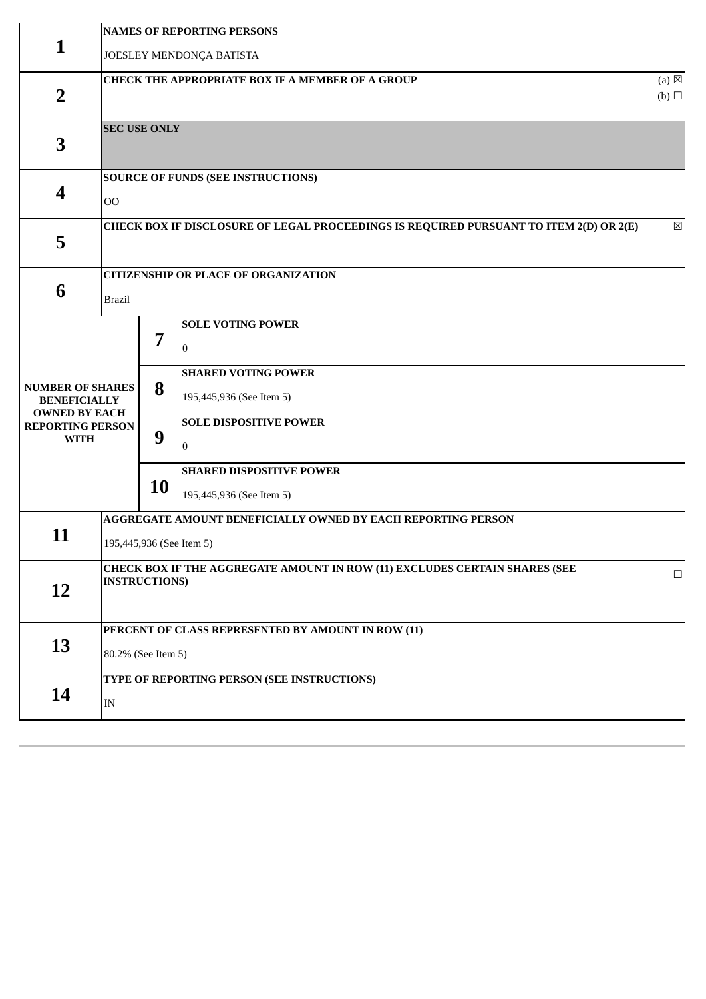|                                                                                                                  | <b>NAMES OF REPORTING PERSONS</b>                                                                  |                                                                          |                                                                                                                                                                          |             |  |  |  |  |  |
|------------------------------------------------------------------------------------------------------------------|----------------------------------------------------------------------------------------------------|--------------------------------------------------------------------------|--------------------------------------------------------------------------------------------------------------------------------------------------------------------------|-------------|--|--|--|--|--|
| 1                                                                                                                | JOESLEY MENDONÇA BATISTA                                                                           |                                                                          |                                                                                                                                                                          |             |  |  |  |  |  |
| $\overline{2}$                                                                                                   | CHECK THE APPROPRIATE BOX IF A MEMBER OF A GROUP                                                   |                                                                          |                                                                                                                                                                          |             |  |  |  |  |  |
| 3                                                                                                                |                                                                                                    | <b>SEC USE ONLY</b>                                                      |                                                                                                                                                                          |             |  |  |  |  |  |
| $\overline{\mathbf{4}}$                                                                                          | 00                                                                                                 |                                                                          | <b>SOURCE OF FUNDS (SEE INSTRUCTIONS)</b>                                                                                                                                |             |  |  |  |  |  |
| 5                                                                                                                |                                                                                                    |                                                                          | CHECK BOX IF DISCLOSURE OF LEGAL PROCEEDINGS IS REQUIRED PURSUANT TO ITEM 2(D) OR 2(E)                                                                                   | $\boxtimes$ |  |  |  |  |  |
| 6                                                                                                                | <b>Brazil</b>                                                                                      |                                                                          | <b>CITIZENSHIP OR PLACE OF ORGANIZATION</b>                                                                                                                              |             |  |  |  |  |  |
| <b>NUMBER OF SHARES</b><br><b>BENEFICIALLY</b><br><b>OWNED BY EACH</b><br><b>REPORTING PERSON</b><br><b>WITH</b> |                                                                                                    | 7<br>8<br>9                                                              | <b>SOLE VOTING POWER</b><br>10<br><b>SHARED VOTING POWER</b><br>195,445,936 (See Item 5)<br><b>SOLE DISPOSITIVE POWER</b><br>$\theta$<br><b>SHARED DISPOSITIVE POWER</b> |             |  |  |  |  |  |
|                                                                                                                  |                                                                                                    | <b>10</b>                                                                | 195,445,936 (See Item 5)<br>AGGREGATE AMOUNT BENEFICIALLY OWNED BY EACH REPORTING PERSON                                                                                 |             |  |  |  |  |  |
| 11                                                                                                               |                                                                                                    | 195,445,936 (See Item 5)                                                 |                                                                                                                                                                          |             |  |  |  |  |  |
| 12                                                                                                               | CHECK BOX IF THE AGGREGATE AMOUNT IN ROW (11) EXCLUDES CERTAIN SHARES (SEE<br><b>INSTRUCTIONS)</b> |                                                                          | $\Box$                                                                                                                                                                   |             |  |  |  |  |  |
| 13                                                                                                               |                                                                                                    | PERCENT OF CLASS REPRESENTED BY AMOUNT IN ROW (11)<br>80.2% (See Item 5) |                                                                                                                                                                          |             |  |  |  |  |  |
| 14                                                                                                               | $\ensuremath{\text{IN}}$                                                                           |                                                                          | TYPE OF REPORTING PERSON (SEE INSTRUCTIONS)                                                                                                                              |             |  |  |  |  |  |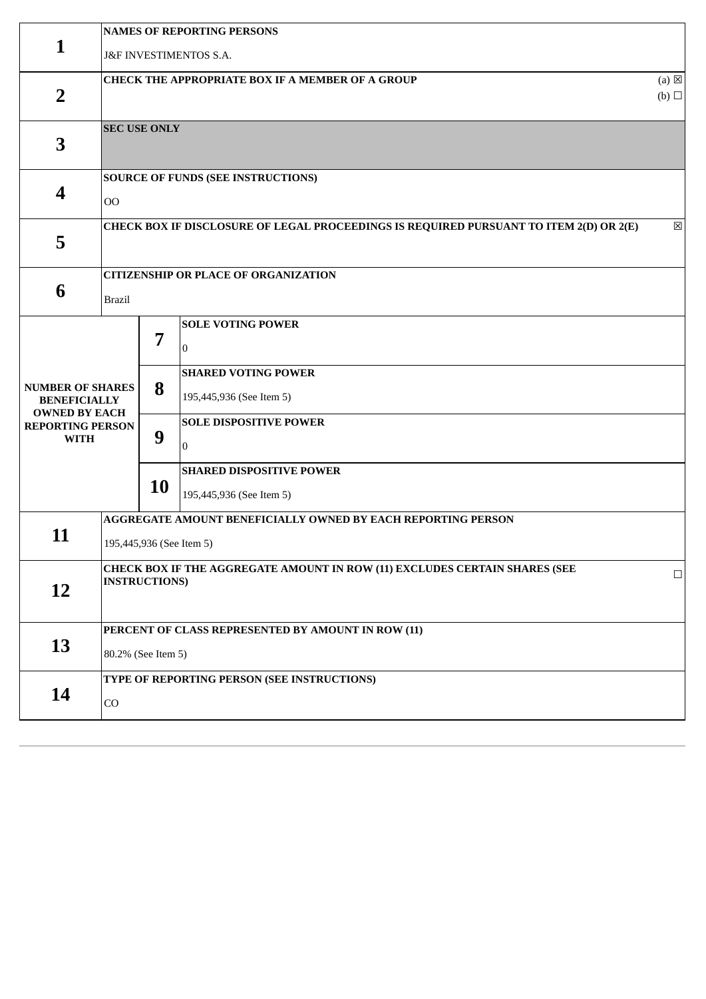|                                                                        | <b>NAMES OF REPORTING PERSONS</b>                                                                  |                          |                                                                                        |             |  |  |  |  |
|------------------------------------------------------------------------|----------------------------------------------------------------------------------------------------|--------------------------|----------------------------------------------------------------------------------------|-------------|--|--|--|--|
| 1                                                                      | J&F INVESTIMENTOS S.A.                                                                             |                          |                                                                                        |             |  |  |  |  |
| $\overline{2}$                                                         | <b>CHECK THE APPROPRIATE BOX IF A MEMBER OF A GROUP</b>                                            |                          |                                                                                        |             |  |  |  |  |
| 3                                                                      |                                                                                                    | <b>SEC USE ONLY</b>      |                                                                                        |             |  |  |  |  |
| 4                                                                      | 00                                                                                                 |                          | <b>SOURCE OF FUNDS (SEE INSTRUCTIONS)</b>                                              |             |  |  |  |  |
| 5                                                                      |                                                                                                    |                          | CHECK BOX IF DISCLOSURE OF LEGAL PROCEEDINGS IS REQUIRED PURSUANT TO ITEM 2(D) OR 2(E) | $\boxtimes$ |  |  |  |  |
| 6                                                                      | <b>Brazil</b>                                                                                      |                          | <b>CITIZENSHIP OR PLACE OF ORGANIZATION</b>                                            |             |  |  |  |  |
|                                                                        |                                                                                                    | 7                        | <b>SOLE VOTING POWER</b><br>$\Omega$<br><b>SHARED VOTING POWER</b>                     |             |  |  |  |  |
| <b>NUMBER OF SHARES</b><br><b>BENEFICIALLY</b><br><b>OWNED BY EACH</b> |                                                                                                    | 8                        | 195,445,936 (See Item 5)                                                               |             |  |  |  |  |
| <b>REPORTING PERSON</b><br><b>WITH</b>                                 |                                                                                                    | 9                        | <b>SOLE DISPOSITIVE POWER</b><br>$\overline{0}$                                        |             |  |  |  |  |
|                                                                        |                                                                                                    | <b>10</b>                | <b>SHARED DISPOSITIVE POWER</b><br>195,445,936 (See Item 5)                            |             |  |  |  |  |
| 11                                                                     |                                                                                                    | 195,445,936 (See Item 5) | AGGREGATE AMOUNT BENEFICIALLY OWNED BY EACH REPORTING PERSON                           |             |  |  |  |  |
| 12                                                                     | CHECK BOX IF THE AGGREGATE AMOUNT IN ROW (11) EXCLUDES CERTAIN SHARES (SEE<br><b>INSTRUCTIONS)</b> |                          | $\Box$                                                                                 |             |  |  |  |  |
| 13                                                                     | PERCENT OF CLASS REPRESENTED BY AMOUNT IN ROW (11)<br>80.2% (See Item 5)                           |                          |                                                                                        |             |  |  |  |  |
| 14                                                                     | CO                                                                                                 |                          | TYPE OF REPORTING PERSON (SEE INSTRUCTIONS)                                            |             |  |  |  |  |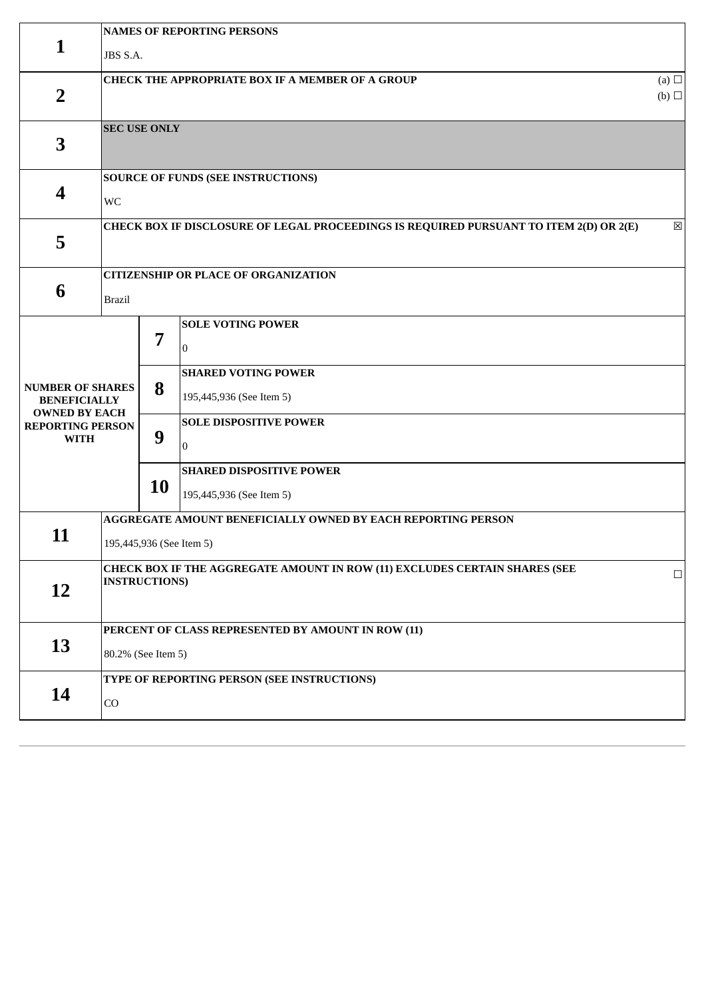|                                                                                                                  | <b>NAMES OF REPORTING PERSONS</b>                                                                  |                                                                          |                                                                                                                                       |             |  |  |  |  |  |
|------------------------------------------------------------------------------------------------------------------|----------------------------------------------------------------------------------------------------|--------------------------------------------------------------------------|---------------------------------------------------------------------------------------------------------------------------------------|-------------|--|--|--|--|--|
| 1                                                                                                                | JBS S.A.                                                                                           |                                                                          |                                                                                                                                       |             |  |  |  |  |  |
| $\overline{2}$                                                                                                   | (a) $\Box$<br><b>CHECK THE APPROPRIATE BOX IF A MEMBER OF A GROUP</b><br>$(b)$ $\square$           |                                                                          |                                                                                                                                       |             |  |  |  |  |  |
| 3                                                                                                                |                                                                                                    | <b>SEC USE ONLY</b>                                                      |                                                                                                                                       |             |  |  |  |  |  |
| $\overline{\mathbf{4}}$                                                                                          | WC                                                                                                 |                                                                          | <b>SOURCE OF FUNDS (SEE INSTRUCTIONS)</b>                                                                                             |             |  |  |  |  |  |
| 5                                                                                                                |                                                                                                    |                                                                          | CHECK BOX IF DISCLOSURE OF LEGAL PROCEEDINGS IS REQUIRED PURSUANT TO ITEM 2(D) OR 2(E)                                                | $\boxtimes$ |  |  |  |  |  |
| 6                                                                                                                | <b>Brazil</b>                                                                                      |                                                                          | <b>CITIZENSHIP OR PLACE OF ORGANIZATION</b>                                                                                           |             |  |  |  |  |  |
| <b>NUMBER OF SHARES</b><br><b>BENEFICIALLY</b><br><b>OWNED BY EACH</b><br><b>REPORTING PERSON</b><br><b>WITH</b> |                                                                                                    | 7<br>8<br>9                                                              | <b>SOLE VOTING POWER</b><br>10<br><b>SHARED VOTING POWER</b><br>195,445,936 (See Item 5)<br><b>SOLE DISPOSITIVE POWER</b><br>$\theta$ |             |  |  |  |  |  |
|                                                                                                                  |                                                                                                    | <b>10</b>                                                                | <b>SHARED DISPOSITIVE POWER</b><br>195,445,936 (See Item 5)                                                                           |             |  |  |  |  |  |
| 11                                                                                                               |                                                                                                    | 195,445,936 (See Item 5)                                                 | AGGREGATE AMOUNT BENEFICIALLY OWNED BY EACH REPORTING PERSON                                                                          |             |  |  |  |  |  |
| 12                                                                                                               | CHECK BOX IF THE AGGREGATE AMOUNT IN ROW (11) EXCLUDES CERTAIN SHARES (SEE<br><b>INSTRUCTIONS)</b> |                                                                          | $\Box$                                                                                                                                |             |  |  |  |  |  |
| 13                                                                                                               |                                                                                                    | PERCENT OF CLASS REPRESENTED BY AMOUNT IN ROW (11)<br>80.2% (See Item 5) |                                                                                                                                       |             |  |  |  |  |  |
| 14                                                                                                               | CO                                                                                                 |                                                                          | TYPE OF REPORTING PERSON (SEE INSTRUCTIONS)                                                                                           |             |  |  |  |  |  |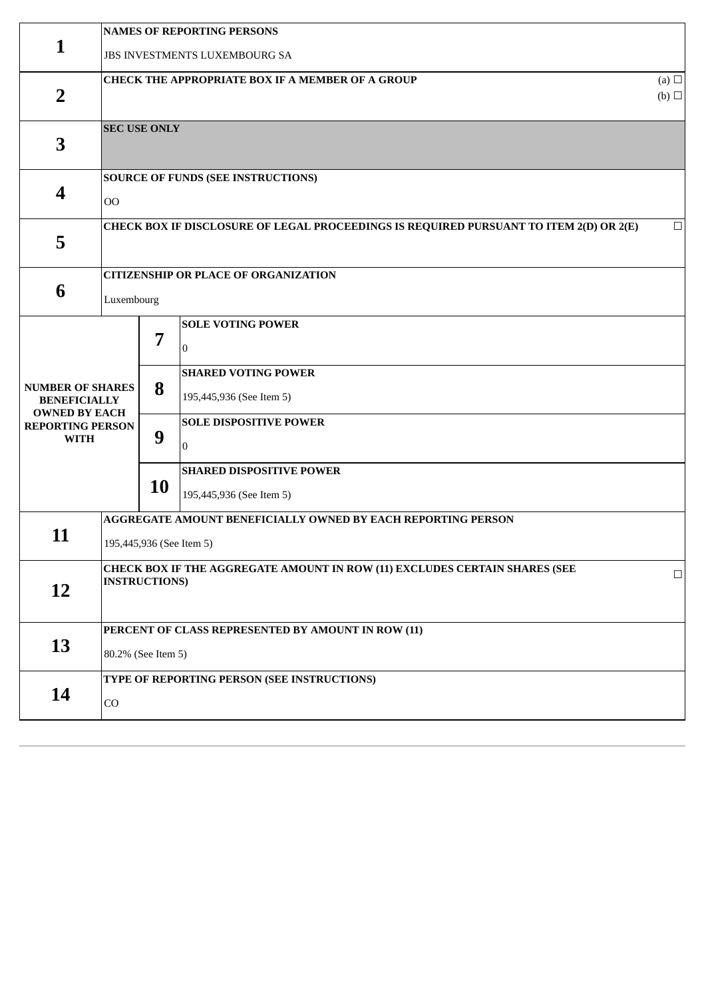|                                                                                                                  | <b>NAMES OF REPORTING PERSONS</b>                                                                  |                                                                          |                                                                                                                                                                          |        |  |  |  |  |
|------------------------------------------------------------------------------------------------------------------|----------------------------------------------------------------------------------------------------|--------------------------------------------------------------------------|--------------------------------------------------------------------------------------------------------------------------------------------------------------------------|--------|--|--|--|--|
| 1                                                                                                                | JBS INVESTMENTS LUXEMBOURG SA                                                                      |                                                                          |                                                                                                                                                                          |        |  |  |  |  |
| $\overline{2}$                                                                                                   | <b>CHECK THE APPROPRIATE BOX IF A MEMBER OF A GROUP</b>                                            |                                                                          |                                                                                                                                                                          |        |  |  |  |  |
| 3                                                                                                                |                                                                                                    | <b>SEC USE ONLY</b>                                                      |                                                                                                                                                                          |        |  |  |  |  |
| $\overline{\mathbf{4}}$                                                                                          | 00                                                                                                 |                                                                          | <b>SOURCE OF FUNDS (SEE INSTRUCTIONS)</b>                                                                                                                                |        |  |  |  |  |
| 5                                                                                                                |                                                                                                    |                                                                          | CHECK BOX IF DISCLOSURE OF LEGAL PROCEEDINGS IS REQUIRED PURSUANT TO ITEM 2(D) OR 2(E)                                                                                   | $\Box$ |  |  |  |  |
| 6                                                                                                                | Luxembourg                                                                                         |                                                                          | <b>CITIZENSHIP OR PLACE OF ORGANIZATION</b>                                                                                                                              |        |  |  |  |  |
| <b>NUMBER OF SHARES</b><br><b>BENEFICIALLY</b><br><b>OWNED BY EACH</b><br><b>REPORTING PERSON</b><br><b>WITH</b> |                                                                                                    | 7<br>8<br>9                                                              | <b>SOLE VOTING POWER</b><br>10<br><b>SHARED VOTING POWER</b><br>195,445,936 (See Item 5)<br><b>SOLE DISPOSITIVE POWER</b><br>$\theta$<br><b>SHARED DISPOSITIVE POWER</b> |        |  |  |  |  |
|                                                                                                                  |                                                                                                    | <b>10</b>                                                                | 195,445,936 (See Item 5)                                                                                                                                                 |        |  |  |  |  |
| 11                                                                                                               |                                                                                                    | 195,445,936 (See Item 5)                                                 | AGGREGATE AMOUNT BENEFICIALLY OWNED BY EACH REPORTING PERSON                                                                                                             |        |  |  |  |  |
| 12                                                                                                               | CHECK BOX IF THE AGGREGATE AMOUNT IN ROW (11) EXCLUDES CERTAIN SHARES (SEE<br><b>INSTRUCTIONS)</b> |                                                                          |                                                                                                                                                                          | $\Box$ |  |  |  |  |
| 13                                                                                                               |                                                                                                    | PERCENT OF CLASS REPRESENTED BY AMOUNT IN ROW (11)<br>80.2% (See Item 5) |                                                                                                                                                                          |        |  |  |  |  |
| 14                                                                                                               | CO                                                                                                 |                                                                          | TYPE OF REPORTING PERSON (SEE INSTRUCTIONS)                                                                                                                              |        |  |  |  |  |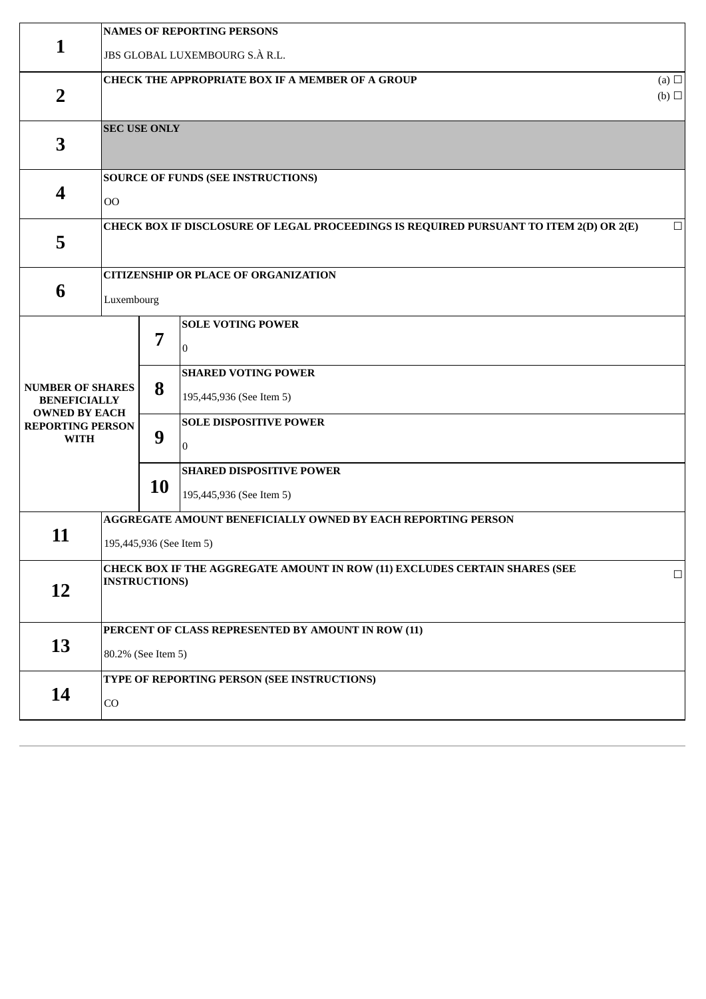|                                                                                                                  | <b>NAMES OF REPORTING PERSONS</b>                                                                  |                          |                                                                                                                                                                                                                  |        |  |  |  |  |
|------------------------------------------------------------------------------------------------------------------|----------------------------------------------------------------------------------------------------|--------------------------|------------------------------------------------------------------------------------------------------------------------------------------------------------------------------------------------------------------|--------|--|--|--|--|
| 1                                                                                                                |                                                                                                    |                          | JBS GLOBAL LUXEMBOURG S.À R.L.                                                                                                                                                                                   |        |  |  |  |  |
| $\overline{2}$                                                                                                   | <b>CHECK THE APPROPRIATE BOX IF A MEMBER OF A GROUP</b>                                            |                          |                                                                                                                                                                                                                  |        |  |  |  |  |
| 3                                                                                                                | <b>SEC USE ONLY</b>                                                                                |                          |                                                                                                                                                                                                                  |        |  |  |  |  |
| $\overline{\mathbf{4}}$                                                                                          | O <sub>O</sub>                                                                                     |                          | <b>SOURCE OF FUNDS (SEE INSTRUCTIONS)</b>                                                                                                                                                                        |        |  |  |  |  |
| 5                                                                                                                |                                                                                                    |                          | CHECK BOX IF DISCLOSURE OF LEGAL PROCEEDINGS IS REQUIRED PURSUANT TO ITEM 2(D) OR 2(E)                                                                                                                           | $\Box$ |  |  |  |  |
| 6                                                                                                                | Luxembourg                                                                                         |                          | <b>CITIZENSHIP OR PLACE OF ORGANIZATION</b>                                                                                                                                                                      |        |  |  |  |  |
| <b>NUMBER OF SHARES</b><br><b>BENEFICIALLY</b><br><b>OWNED BY EACH</b><br><b>REPORTING PERSON</b><br><b>WITH</b> |                                                                                                    | 7<br>8<br>9<br><b>10</b> | <b>SOLE VOTING POWER</b><br>$\bf{0}$<br><b>SHARED VOTING POWER</b><br>195,445,936 (See Item 5)<br><b>SOLE DISPOSITIVE POWER</b><br>$\overline{0}$<br><b>SHARED DISPOSITIVE POWER</b><br>195,445,936 (See Item 5) |        |  |  |  |  |
| 11                                                                                                               |                                                                                                    | 195,445,936 (See Item 5) | AGGREGATE AMOUNT BENEFICIALLY OWNED BY EACH REPORTING PERSON                                                                                                                                                     |        |  |  |  |  |
| 12                                                                                                               | CHECK BOX IF THE AGGREGATE AMOUNT IN ROW (11) EXCLUDES CERTAIN SHARES (SEE<br><b>INSTRUCTIONS)</b> |                          | $\Box$                                                                                                                                                                                                           |        |  |  |  |  |
| 13                                                                                                               | PERCENT OF CLASS REPRESENTED BY AMOUNT IN ROW (11)<br>80.2% (See Item 5)                           |                          |                                                                                                                                                                                                                  |        |  |  |  |  |
| 14                                                                                                               | CO                                                                                                 |                          | TYPE OF REPORTING PERSON (SEE INSTRUCTIONS)                                                                                                                                                                      |        |  |  |  |  |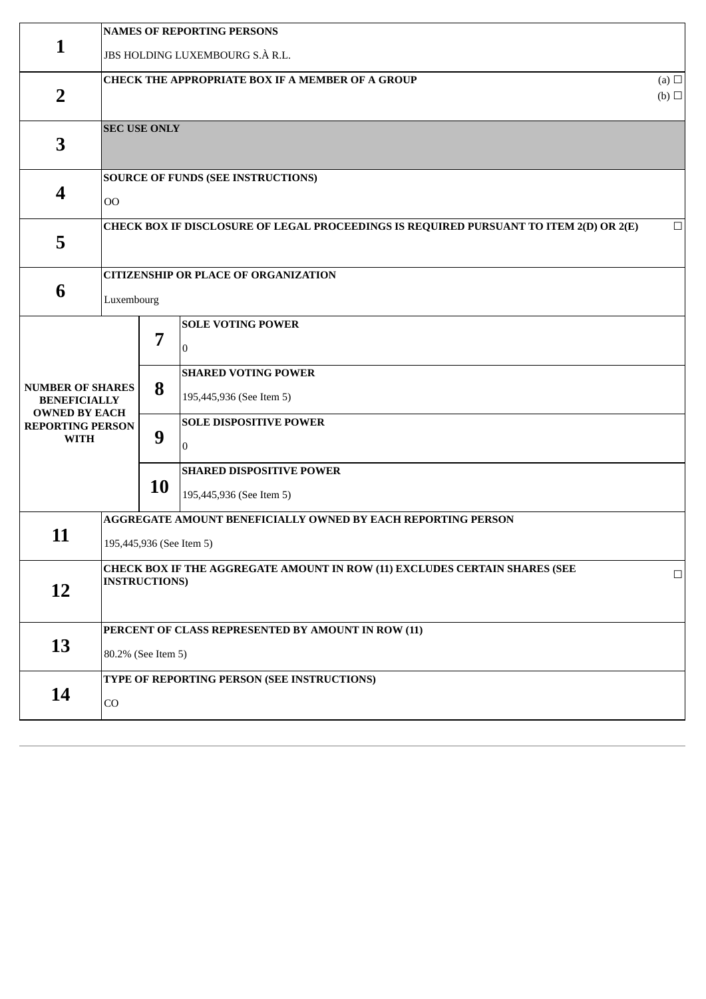|                                                                                                                  | <b>NAMES OF REPORTING PERSONS</b>                                                                                              |                                                                          |                                                                                                                                                                                      |        |  |  |  |  |
|------------------------------------------------------------------------------------------------------------------|--------------------------------------------------------------------------------------------------------------------------------|--------------------------------------------------------------------------|--------------------------------------------------------------------------------------------------------------------------------------------------------------------------------------|--------|--|--|--|--|
| 1                                                                                                                | JBS HOLDING LUXEMBOURG S.À R.L.                                                                                                |                                                                          |                                                                                                                                                                                      |        |  |  |  |  |
| $\overline{2}$                                                                                                   | CHECK THE APPROPRIATE BOX IF A MEMBER OF A GROUP<br>$(b)$ $\square$                                                            |                                                                          |                                                                                                                                                                                      |        |  |  |  |  |
| 3                                                                                                                |                                                                                                                                | <b>SEC USE ONLY</b>                                                      |                                                                                                                                                                                      |        |  |  |  |  |
| 4                                                                                                                | O <sub>O</sub>                                                                                                                 |                                                                          | <b>SOURCE OF FUNDS (SEE INSTRUCTIONS)</b>                                                                                                                                            |        |  |  |  |  |
| 5                                                                                                                |                                                                                                                                |                                                                          | CHECK BOX IF DISCLOSURE OF LEGAL PROCEEDINGS IS REQUIRED PURSUANT TO ITEM 2(D) OR 2(E)                                                                                               | $\Box$ |  |  |  |  |
| 6                                                                                                                | Luxembourg                                                                                                                     |                                                                          | <b>CITIZENSHIP OR PLACE OF ORGANIZATION</b>                                                                                                                                          |        |  |  |  |  |
| <b>NUMBER OF SHARES</b><br><b>BENEFICIALLY</b><br><b>OWNED BY EACH</b><br><b>REPORTING PERSON</b><br><b>WITH</b> |                                                                                                                                | 7<br>8<br>9<br><b>10</b>                                                 | <b>SOLE VOTING POWER</b><br>$\theta$<br><b>SHARED VOTING POWER</b><br>195,445,936 (See Item 5)<br><b>SOLE DISPOSITIVE POWER</b><br>$\overline{0}$<br><b>SHARED DISPOSITIVE POWER</b> |        |  |  |  |  |
| 11                                                                                                               |                                                                                                                                |                                                                          | 195,445,936 (See Item 5)<br>AGGREGATE AMOUNT BENEFICIALLY OWNED BY EACH REPORTING PERSON                                                                                             |        |  |  |  |  |
| 12                                                                                                               | 195,445,936 (See Item 5)<br>CHECK BOX IF THE AGGREGATE AMOUNT IN ROW (11) EXCLUDES CERTAIN SHARES (SEE<br><b>INSTRUCTIONS)</b> |                                                                          |                                                                                                                                                                                      |        |  |  |  |  |
| 13                                                                                                               |                                                                                                                                | PERCENT OF CLASS REPRESENTED BY AMOUNT IN ROW (11)<br>80.2% (See Item 5) |                                                                                                                                                                                      |        |  |  |  |  |
| 14                                                                                                               | CO                                                                                                                             |                                                                          | TYPE OF REPORTING PERSON (SEE INSTRUCTIONS)                                                                                                                                          |        |  |  |  |  |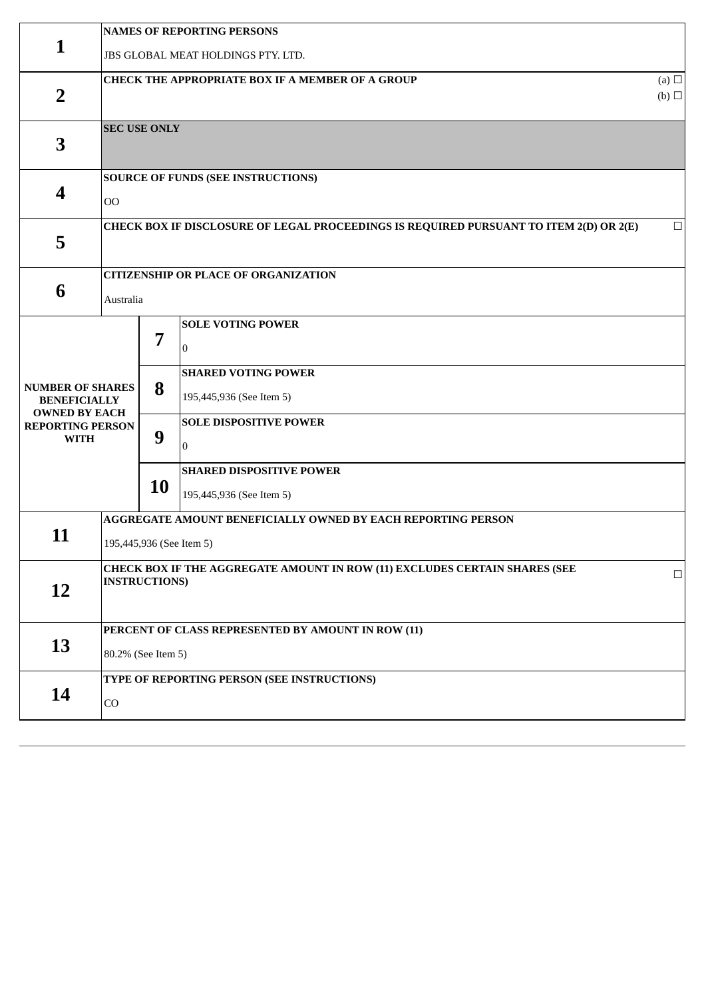|                                                                                                                  | <b>NAMES OF REPORTING PERSONS</b>                                                                  |                          |                                                                                                                                                                                                                  |        |  |  |  |  |
|------------------------------------------------------------------------------------------------------------------|----------------------------------------------------------------------------------------------------|--------------------------|------------------------------------------------------------------------------------------------------------------------------------------------------------------------------------------------------------------|--------|--|--|--|--|
| 1                                                                                                                | <b>JBS GLOBAL MEAT HOLDINGS PTY. LTD.</b>                                                          |                          |                                                                                                                                                                                                                  |        |  |  |  |  |
| $\overline{2}$                                                                                                   | CHECK THE APPROPRIATE BOX IF A MEMBER OF A GROUP                                                   |                          |                                                                                                                                                                                                                  |        |  |  |  |  |
| 3                                                                                                                |                                                                                                    | <b>SEC USE ONLY</b>      |                                                                                                                                                                                                                  |        |  |  |  |  |
| 4                                                                                                                | O <sub>O</sub>                                                                                     |                          | <b>SOURCE OF FUNDS (SEE INSTRUCTIONS)</b>                                                                                                                                                                        |        |  |  |  |  |
| 5                                                                                                                |                                                                                                    |                          | CHECK BOX IF DISCLOSURE OF LEGAL PROCEEDINGS IS REQUIRED PURSUANT TO ITEM 2(D) OR 2(E)                                                                                                                           | $\Box$ |  |  |  |  |
| 6                                                                                                                | Australia                                                                                          |                          | <b>CITIZENSHIP OR PLACE OF ORGANIZATION</b>                                                                                                                                                                      |        |  |  |  |  |
| <b>NUMBER OF SHARES</b><br><b>BENEFICIALLY</b><br><b>OWNED BY EACH</b><br><b>REPORTING PERSON</b><br><b>WITH</b> |                                                                                                    | 7<br>8<br>9<br><b>10</b> | <b>SOLE VOTING POWER</b><br>$\theta$<br><b>SHARED VOTING POWER</b><br>195,445,936 (See Item 5)<br><b>SOLE DISPOSITIVE POWER</b><br>$\overline{0}$<br><b>SHARED DISPOSITIVE POWER</b><br>195,445,936 (See Item 5) |        |  |  |  |  |
| 11                                                                                                               |                                                                                                    | 195,445,936 (See Item 5) | AGGREGATE AMOUNT BENEFICIALLY OWNED BY EACH REPORTING PERSON                                                                                                                                                     |        |  |  |  |  |
| 12                                                                                                               | CHECK BOX IF THE AGGREGATE AMOUNT IN ROW (11) EXCLUDES CERTAIN SHARES (SEE<br><b>INSTRUCTIONS)</b> |                          | $\Box$                                                                                                                                                                                                           |        |  |  |  |  |
| 13                                                                                                               | PERCENT OF CLASS REPRESENTED BY AMOUNT IN ROW (11)<br>80.2% (See Item 5)                           |                          |                                                                                                                                                                                                                  |        |  |  |  |  |
| 14                                                                                                               | CO                                                                                                 |                          | TYPE OF REPORTING PERSON (SEE INSTRUCTIONS)                                                                                                                                                                      |        |  |  |  |  |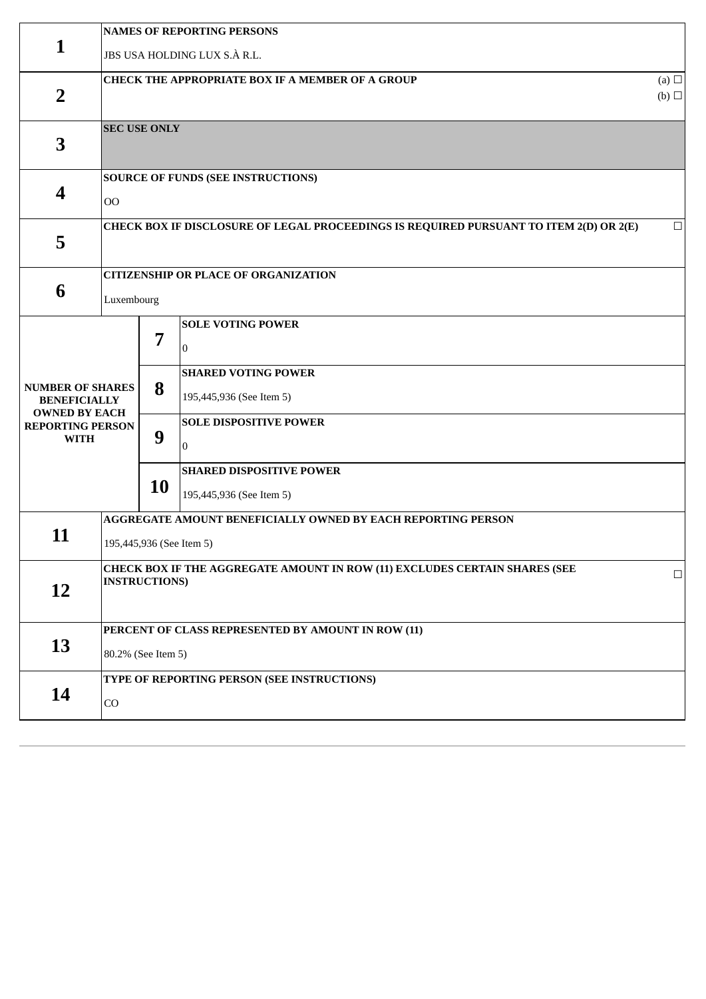|                                                                                                                  | <b>NAMES OF REPORTING PERSONS</b>                                                                  |                          |                                                                                                                                                                                                                  |        |  |  |  |  |
|------------------------------------------------------------------------------------------------------------------|----------------------------------------------------------------------------------------------------|--------------------------|------------------------------------------------------------------------------------------------------------------------------------------------------------------------------------------------------------------|--------|--|--|--|--|
| 1                                                                                                                |                                                                                                    |                          | JBS USA HOLDING LUX S.À R.L.                                                                                                                                                                                     |        |  |  |  |  |
| $\overline{2}$                                                                                                   | <b>CHECK THE APPROPRIATE BOX IF A MEMBER OF A GROUP</b>                                            |                          |                                                                                                                                                                                                                  |        |  |  |  |  |
| 3                                                                                                                | <b>SEC USE ONLY</b>                                                                                |                          |                                                                                                                                                                                                                  |        |  |  |  |  |
| $\overline{\mathbf{4}}$                                                                                          | O <sub>O</sub>                                                                                     |                          | <b>SOURCE OF FUNDS (SEE INSTRUCTIONS)</b>                                                                                                                                                                        |        |  |  |  |  |
| 5                                                                                                                |                                                                                                    |                          | CHECK BOX IF DISCLOSURE OF LEGAL PROCEEDINGS IS REQUIRED PURSUANT TO ITEM 2(D) OR 2(E)                                                                                                                           | $\Box$ |  |  |  |  |
| 6                                                                                                                | Luxembourg                                                                                         |                          | <b>CITIZENSHIP OR PLACE OF ORGANIZATION</b>                                                                                                                                                                      |        |  |  |  |  |
| <b>NUMBER OF SHARES</b><br><b>BENEFICIALLY</b><br><b>OWNED BY EACH</b><br><b>REPORTING PERSON</b><br><b>WITH</b> |                                                                                                    | 7<br>8<br>9<br><b>10</b> | <b>SOLE VOTING POWER</b><br>$\bf{0}$<br><b>SHARED VOTING POWER</b><br>195,445,936 (See Item 5)<br><b>SOLE DISPOSITIVE POWER</b><br>$\overline{0}$<br><b>SHARED DISPOSITIVE POWER</b><br>195,445,936 (See Item 5) |        |  |  |  |  |
| 11                                                                                                               |                                                                                                    | 195,445,936 (See Item 5) | AGGREGATE AMOUNT BENEFICIALLY OWNED BY EACH REPORTING PERSON                                                                                                                                                     |        |  |  |  |  |
| 12                                                                                                               | CHECK BOX IF THE AGGREGATE AMOUNT IN ROW (11) EXCLUDES CERTAIN SHARES (SEE<br><b>INSTRUCTIONS)</b> |                          |                                                                                                                                                                                                                  | $\Box$ |  |  |  |  |
| 13                                                                                                               | PERCENT OF CLASS REPRESENTED BY AMOUNT IN ROW (11)<br>80.2% (See Item 5)                           |                          |                                                                                                                                                                                                                  |        |  |  |  |  |
| 14                                                                                                               | CO                                                                                                 |                          | TYPE OF REPORTING PERSON (SEE INSTRUCTIONS)                                                                                                                                                                      |        |  |  |  |  |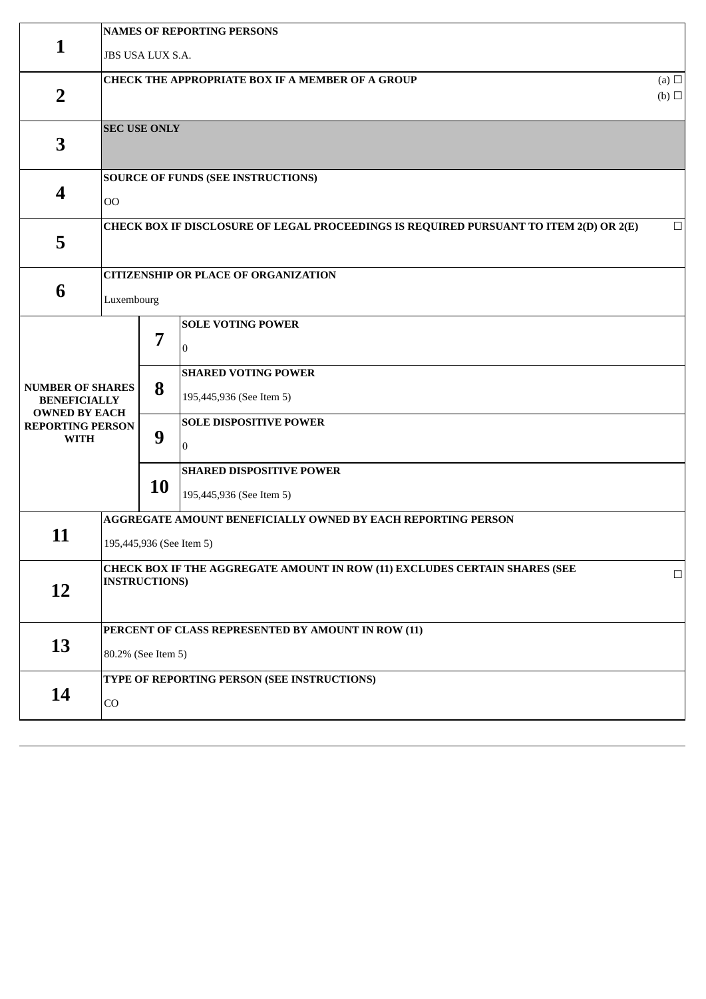|                                                                        | <b>NAMES OF REPORTING PERSONS</b>                                        |                          |                                                                                        |        |  |  |  |  |
|------------------------------------------------------------------------|--------------------------------------------------------------------------|--------------------------|----------------------------------------------------------------------------------------|--------|--|--|--|--|
| 1                                                                      | JBS USA LUX S.A.                                                         |                          |                                                                                        |        |  |  |  |  |
| $\overline{2}$                                                         | <b>CHECK THE APPROPRIATE BOX IF A MEMBER OF A GROUP</b>                  |                          |                                                                                        |        |  |  |  |  |
| 3                                                                      | <b>SEC USE ONLY</b>                                                      |                          |                                                                                        |        |  |  |  |  |
| 4                                                                      | 00                                                                       |                          | <b>SOURCE OF FUNDS (SEE INSTRUCTIONS)</b>                                              |        |  |  |  |  |
| 5                                                                      |                                                                          |                          | CHECK BOX IF DISCLOSURE OF LEGAL PROCEEDINGS IS REQUIRED PURSUANT TO ITEM 2(D) OR 2(E) | $\Box$ |  |  |  |  |
| 6                                                                      | Luxembourg                                                               |                          | <b>CITIZENSHIP OR PLACE OF ORGANIZATION</b>                                            |        |  |  |  |  |
|                                                                        |                                                                          | 7                        | <b>SOLE VOTING POWER</b><br>$\Omega$<br><b>SHARED VOTING POWER</b>                     |        |  |  |  |  |
| <b>NUMBER OF SHARES</b><br><b>BENEFICIALLY</b><br><b>OWNED BY EACH</b> |                                                                          | 8                        | 195,445,936 (See Item 5)                                                               |        |  |  |  |  |
| <b>REPORTING PERSON</b><br><b>WITH</b>                                 |                                                                          | 9                        | <b>SOLE DISPOSITIVE POWER</b><br>$\overline{0}$                                        |        |  |  |  |  |
|                                                                        | <b>10</b>                                                                |                          | <b>SHARED DISPOSITIVE POWER</b><br>195,445,936 (See Item 5)                            |        |  |  |  |  |
| 11                                                                     |                                                                          | 195,445,936 (See Item 5) | AGGREGATE AMOUNT BENEFICIALLY OWNED BY EACH REPORTING PERSON                           |        |  |  |  |  |
| 12                                                                     | <b>INSTRUCTIONS)</b>                                                     |                          | CHECK BOX IF THE AGGREGATE AMOUNT IN ROW (11) EXCLUDES CERTAIN SHARES (SEE             | $\Box$ |  |  |  |  |
| 13                                                                     | PERCENT OF CLASS REPRESENTED BY AMOUNT IN ROW (11)<br>80.2% (See Item 5) |                          |                                                                                        |        |  |  |  |  |
| 14                                                                     | CO                                                                       |                          | TYPE OF REPORTING PERSON (SEE INSTRUCTIONS)                                            |        |  |  |  |  |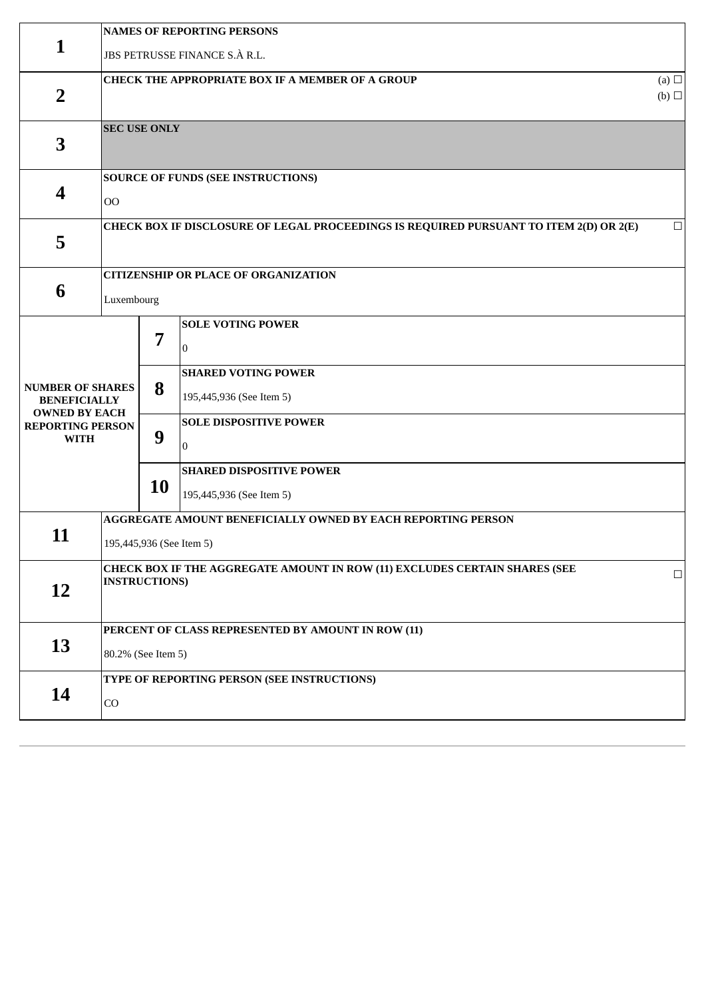|                                                                                                                  | <b>NAMES OF REPORTING PERSONS</b>                                                                  |                          |                                                                                                                                                                                                                  |        |  |  |  |  |
|------------------------------------------------------------------------------------------------------------------|----------------------------------------------------------------------------------------------------|--------------------------|------------------------------------------------------------------------------------------------------------------------------------------------------------------------------------------------------------------|--------|--|--|--|--|
| 1                                                                                                                |                                                                                                    |                          | JBS PETRUSSE FINANCE S.À R.L.                                                                                                                                                                                    |        |  |  |  |  |
| $\overline{2}$                                                                                                   | <b>CHECK THE APPROPRIATE BOX IF A MEMBER OF A GROUP</b>                                            |                          |                                                                                                                                                                                                                  |        |  |  |  |  |
| 3                                                                                                                | <b>SEC USE ONLY</b>                                                                                |                          |                                                                                                                                                                                                                  |        |  |  |  |  |
| $\overline{\mathbf{4}}$                                                                                          | O <sub>O</sub>                                                                                     |                          | <b>SOURCE OF FUNDS (SEE INSTRUCTIONS)</b>                                                                                                                                                                        |        |  |  |  |  |
| 5                                                                                                                |                                                                                                    |                          | CHECK BOX IF DISCLOSURE OF LEGAL PROCEEDINGS IS REQUIRED PURSUANT TO ITEM 2(D) OR 2(E)                                                                                                                           | $\Box$ |  |  |  |  |
| 6                                                                                                                | Luxembourg                                                                                         |                          | <b>CITIZENSHIP OR PLACE OF ORGANIZATION</b>                                                                                                                                                                      |        |  |  |  |  |
| <b>NUMBER OF SHARES</b><br><b>BENEFICIALLY</b><br><b>OWNED BY EACH</b><br><b>REPORTING PERSON</b><br><b>WITH</b> |                                                                                                    | 7<br>8<br>9<br><b>10</b> | <b>SOLE VOTING POWER</b><br>$\bf{0}$<br><b>SHARED VOTING POWER</b><br>195,445,936 (See Item 5)<br><b>SOLE DISPOSITIVE POWER</b><br>$\overline{0}$<br><b>SHARED DISPOSITIVE POWER</b><br>195,445,936 (See Item 5) |        |  |  |  |  |
| 11                                                                                                               |                                                                                                    | 195,445,936 (See Item 5) | AGGREGATE AMOUNT BENEFICIALLY OWNED BY EACH REPORTING PERSON                                                                                                                                                     |        |  |  |  |  |
| 12                                                                                                               | CHECK BOX IF THE AGGREGATE AMOUNT IN ROW (11) EXCLUDES CERTAIN SHARES (SEE<br><b>INSTRUCTIONS)</b> |                          |                                                                                                                                                                                                                  | $\Box$ |  |  |  |  |
| 13                                                                                                               | PERCENT OF CLASS REPRESENTED BY AMOUNT IN ROW (11)<br>80.2% (See Item 5)                           |                          |                                                                                                                                                                                                                  |        |  |  |  |  |
| 14                                                                                                               | CO                                                                                                 |                          | TYPE OF REPORTING PERSON (SEE INSTRUCTIONS)                                                                                                                                                                      |        |  |  |  |  |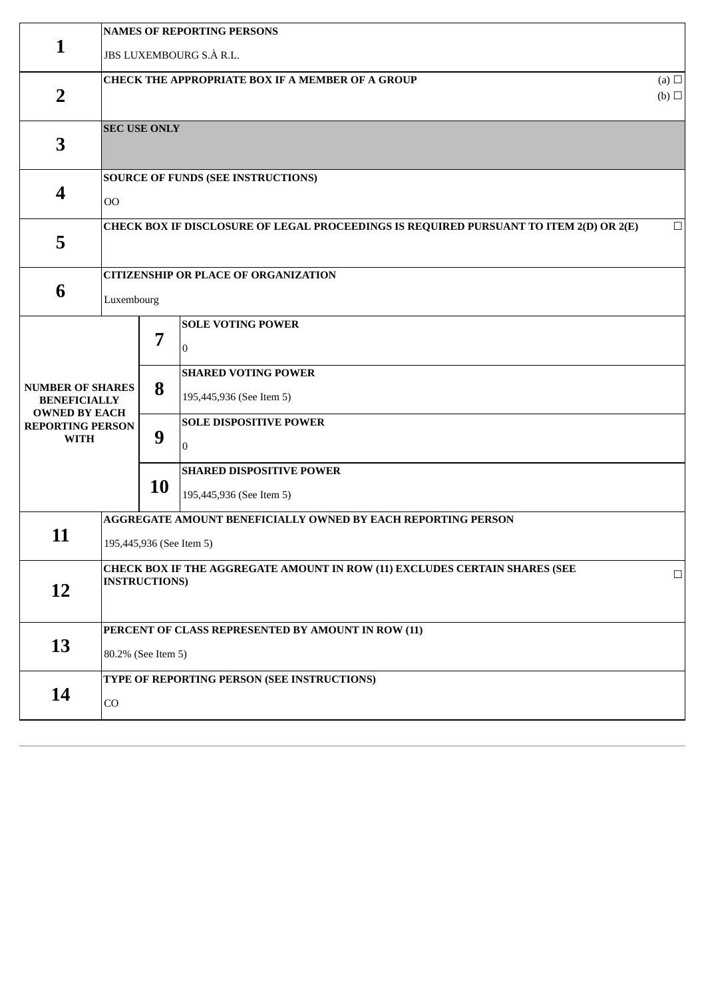|                                                                        | <b>NAMES OF REPORTING PERSONS</b>                                                                  |                          |                                                                                        |        |  |  |  |  |
|------------------------------------------------------------------------|----------------------------------------------------------------------------------------------------|--------------------------|----------------------------------------------------------------------------------------|--------|--|--|--|--|
| $\mathbf{1}$                                                           | JBS LUXEMBOURG S.À R.L.                                                                            |                          |                                                                                        |        |  |  |  |  |
| $\overline{2}$                                                         | <b>CHECK THE APPROPRIATE BOX IF A MEMBER OF A GROUP</b><br>$(b)$ $\square$                         |                          |                                                                                        |        |  |  |  |  |
| 3                                                                      |                                                                                                    | <b>SEC USE ONLY</b>      |                                                                                        |        |  |  |  |  |
| 4                                                                      | 00                                                                                                 |                          | <b>SOURCE OF FUNDS (SEE INSTRUCTIONS)</b>                                              |        |  |  |  |  |
| 5                                                                      |                                                                                                    |                          | CHECK BOX IF DISCLOSURE OF LEGAL PROCEEDINGS IS REQUIRED PURSUANT TO ITEM 2(D) OR 2(E) | $\Box$ |  |  |  |  |
| 6                                                                      | Luxembourg                                                                                         |                          | <b>CITIZENSHIP OR PLACE OF ORGANIZATION</b>                                            |        |  |  |  |  |
|                                                                        |                                                                                                    | 7                        | <b>SOLE VOTING POWER</b><br>0<br><b>SHARED VOTING POWER</b>                            |        |  |  |  |  |
| <b>NUMBER OF SHARES</b><br><b>BENEFICIALLY</b><br><b>OWNED BY EACH</b> |                                                                                                    | 8                        | 195,445,936 (See Item 5)                                                               |        |  |  |  |  |
| <b>REPORTING PERSON</b><br><b>WITH</b>                                 |                                                                                                    | 9                        | <b>SOLE DISPOSITIVE POWER</b><br>$\Omega$                                              |        |  |  |  |  |
|                                                                        | 10                                                                                                 |                          | <b>SHARED DISPOSITIVE POWER</b><br>195,445,936 (See Item 5)                            |        |  |  |  |  |
| 11                                                                     |                                                                                                    | 195,445,936 (See Item 5) | AGGREGATE AMOUNT BENEFICIALLY OWNED BY EACH REPORTING PERSON                           |        |  |  |  |  |
| 12                                                                     | CHECK BOX IF THE AGGREGATE AMOUNT IN ROW (11) EXCLUDES CERTAIN SHARES (SEE<br><b>INSTRUCTIONS)</b> |                          | $\Box$                                                                                 |        |  |  |  |  |
| 13                                                                     | PERCENT OF CLASS REPRESENTED BY AMOUNT IN ROW (11)<br>80.2% (See Item 5)                           |                          |                                                                                        |        |  |  |  |  |
| 14                                                                     | CO                                                                                                 |                          | TYPE OF REPORTING PERSON (SEE INSTRUCTIONS)                                            |        |  |  |  |  |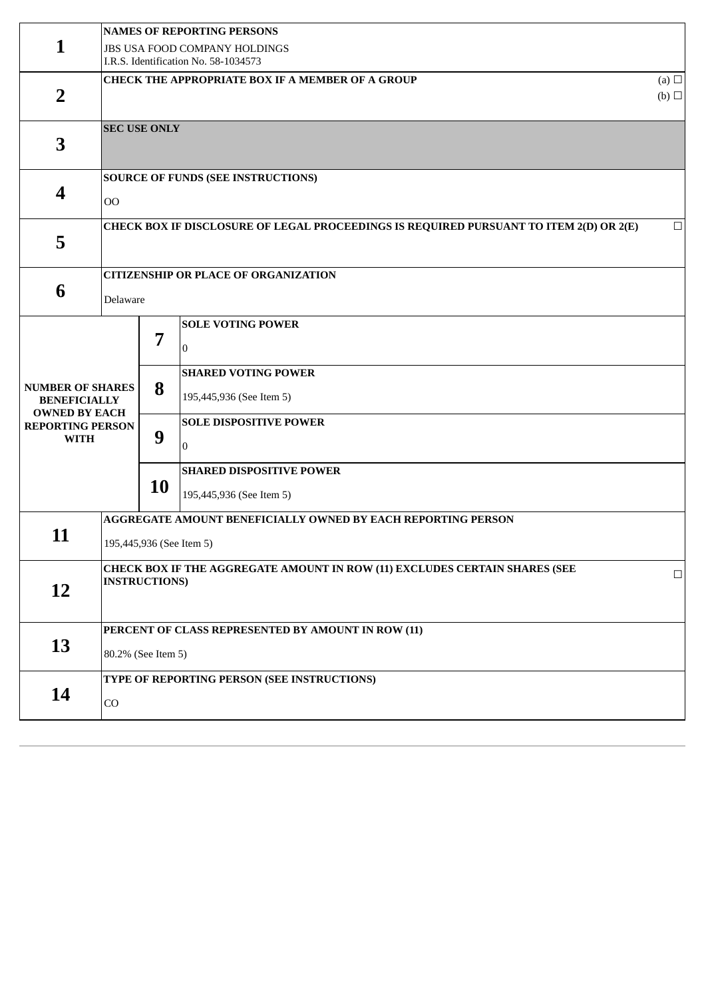|                                                                        | <b>NAMES OF REPORTING PERSONS</b>                                                                            |    |                                                                       |  |  |  |
|------------------------------------------------------------------------|--------------------------------------------------------------------------------------------------------------|----|-----------------------------------------------------------------------|--|--|--|
| 1                                                                      |                                                                                                              |    | JBS USA FOOD COMPANY HOLDINGS<br>I.R.S. Identification No. 58-1034573 |  |  |  |
| $\overline{2}$                                                         | CHECK THE APPROPRIATE BOX IF A MEMBER OF A GROUP<br>(b)                                                      |    |                                                                       |  |  |  |
| 3                                                                      | <b>SEC USE ONLY</b>                                                                                          |    |                                                                       |  |  |  |
| $\overline{\mathbf{4}}$                                                | <b>SOURCE OF FUNDS (SEE INSTRUCTIONS)</b><br>$_{\rm OO}$                                                     |    |                                                                       |  |  |  |
| 5                                                                      | CHECK BOX IF DISCLOSURE OF LEGAL PROCEEDINGS IS REQUIRED PURSUANT TO ITEM 2(D) OR 2(E)<br>$\Box$             |    |                                                                       |  |  |  |
| 6                                                                      | <b>CITIZENSHIP OR PLACE OF ORGANIZATION</b><br>Delaware                                                      |    |                                                                       |  |  |  |
|                                                                        |                                                                                                              | 7  | <b>SOLE VOTING POWER</b><br>$\Omega$                                  |  |  |  |
| <b>NUMBER OF SHARES</b><br><b>BENEFICIALLY</b><br><b>OWNED BY EACH</b> |                                                                                                              | 8  | <b>SHARED VOTING POWER</b><br>195,445,936 (See Item 5)                |  |  |  |
| <b>REPORTING PERSON</b><br><b>WITH</b>                                 |                                                                                                              | 9  | <b>SOLE DISPOSITIVE POWER</b><br>$\Omega$                             |  |  |  |
|                                                                        |                                                                                                              | 10 | <b>SHARED DISPOSITIVE POWER</b><br>195,445,936 (See Item 5)           |  |  |  |
| 11                                                                     | AGGREGATE AMOUNT BENEFICIALLY OWNED BY EACH REPORTING PERSON<br>195,445,936 (See Item 5)                     |    |                                                                       |  |  |  |
| <b>12</b>                                                              | CHECK BOX IF THE AGGREGATE AMOUNT IN ROW (11) EXCLUDES CERTAIN SHARES (SEE<br>$\Box$<br><b>INSTRUCTIONS)</b> |    |                                                                       |  |  |  |
| 13                                                                     | PERCENT OF CLASS REPRESENTED BY AMOUNT IN ROW (11)<br>80.2% (See Item 5)                                     |    |                                                                       |  |  |  |
| 14                                                                     | TYPE OF REPORTING PERSON (SEE INSTRUCTIONS)<br>CO                                                            |    |                                                                       |  |  |  |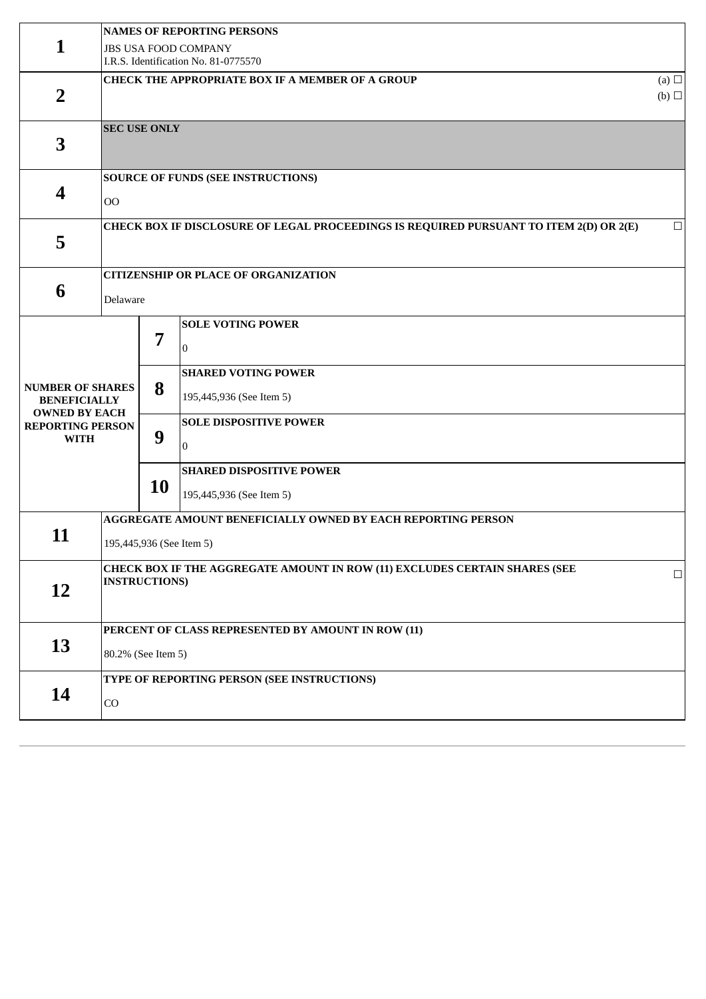|                                                                        | <b>NAMES OF REPORTING PERSONS</b>                                                                            |    |                                                                        |  |  |  |
|------------------------------------------------------------------------|--------------------------------------------------------------------------------------------------------------|----|------------------------------------------------------------------------|--|--|--|
| 1                                                                      | <b>JBS USA FOOD COMPANY</b><br>I.R.S. Identification No. 81-0775570                                          |    |                                                                        |  |  |  |
| $\overline{2}$                                                         | CHECK THE APPROPRIATE BOX IF A MEMBER OF A GROUP<br>(b)                                                      |    |                                                                        |  |  |  |
| 3                                                                      | <b>SEC USE ONLY</b>                                                                                          |    |                                                                        |  |  |  |
| 4                                                                      | <b>SOURCE OF FUNDS (SEE INSTRUCTIONS)</b><br>O <sub>O</sub>                                                  |    |                                                                        |  |  |  |
| 5                                                                      | CHECK BOX IF DISCLOSURE OF LEGAL PROCEEDINGS IS REQUIRED PURSUANT TO ITEM 2(D) OR 2(E)<br>$\Box$             |    |                                                                        |  |  |  |
| 6                                                                      | <b>CITIZENSHIP OR PLACE OF ORGANIZATION</b><br>Delaware                                                      |    |                                                                        |  |  |  |
|                                                                        |                                                                                                              | 7  | <b>SOLE VOTING POWER</b><br>$\mathbf{0}$<br><b>SHARED VOTING POWER</b> |  |  |  |
| <b>NUMBER OF SHARES</b><br><b>BENEFICIALLY</b><br><b>OWNED BY EACH</b> |                                                                                                              | 8  | 195,445,936 (See Item 5)                                               |  |  |  |
| <b>REPORTING PERSON</b><br><b>WITH</b>                                 |                                                                                                              | 9  | <b>SOLE DISPOSITIVE POWER</b><br>$\overline{0}$                        |  |  |  |
|                                                                        |                                                                                                              | 10 | <b>SHARED DISPOSITIVE POWER</b><br>195,445,936 (See Item 5)            |  |  |  |
| 11                                                                     | AGGREGATE AMOUNT BENEFICIALLY OWNED BY EACH REPORTING PERSON<br>195,445,936 (See Item 5)                     |    |                                                                        |  |  |  |
| 12                                                                     | CHECK BOX IF THE AGGREGATE AMOUNT IN ROW (11) EXCLUDES CERTAIN SHARES (SEE<br>$\Box$<br><b>INSTRUCTIONS)</b> |    |                                                                        |  |  |  |
| 13                                                                     | PERCENT OF CLASS REPRESENTED BY AMOUNT IN ROW (11)<br>80.2% (See Item 5)                                     |    |                                                                        |  |  |  |
| 14                                                                     | TYPE OF REPORTING PERSON (SEE INSTRUCTIONS)<br>CO                                                            |    |                                                                        |  |  |  |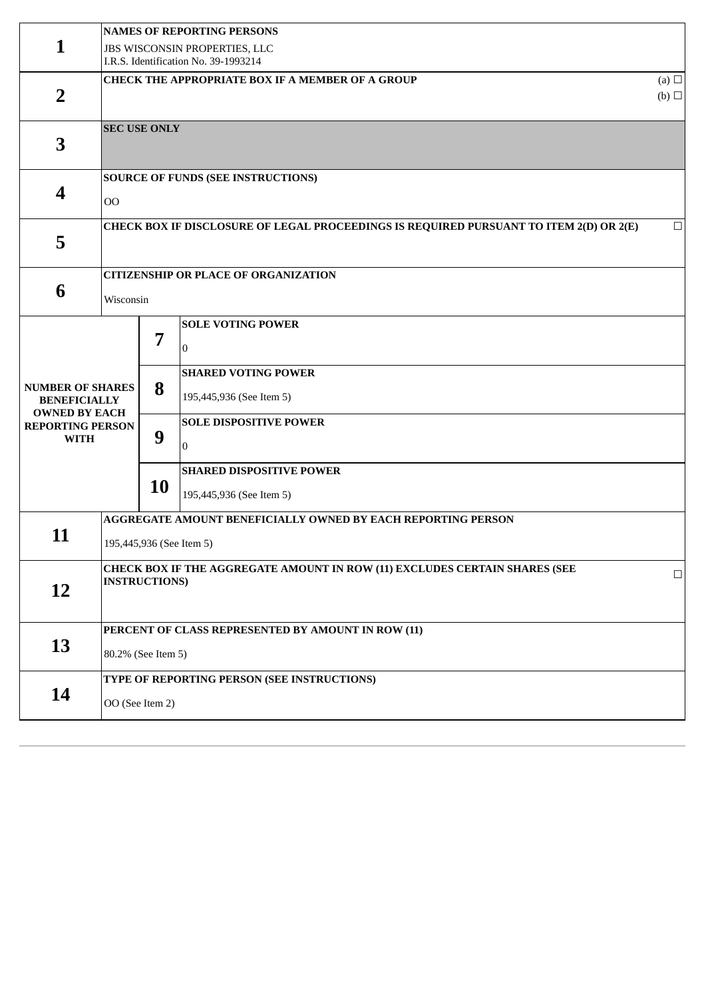|                                                                        | <b>NAMES OF REPORTING PERSONS</b>                                                                            |    |                                                             |  |  |  |
|------------------------------------------------------------------------|--------------------------------------------------------------------------------------------------------------|----|-------------------------------------------------------------|--|--|--|
| 1                                                                      | JBS WISCONSIN PROPERTIES, LLC<br>I.R.S. Identification No. 39-1993214                                        |    |                                                             |  |  |  |
| $\overline{2}$                                                         | CHECK THE APPROPRIATE BOX IF A MEMBER OF A GROUP<br>(a) $\Box$<br>(b)                                        |    |                                                             |  |  |  |
| 3                                                                      | <b>SEC USE ONLY</b>                                                                                          |    |                                                             |  |  |  |
| 4                                                                      | <b>SOURCE OF FUNDS (SEE INSTRUCTIONS)</b><br>O <sub>O</sub>                                                  |    |                                                             |  |  |  |
| 5                                                                      | CHECK BOX IF DISCLOSURE OF LEGAL PROCEEDINGS IS REQUIRED PURSUANT TO ITEM 2(D) OR 2(E)<br>$\Box$             |    |                                                             |  |  |  |
| 6                                                                      | <b>CITIZENSHIP OR PLACE OF ORGANIZATION</b><br>Wisconsin                                                     |    |                                                             |  |  |  |
|                                                                        |                                                                                                              | 7  | <b>SOLE VOTING POWER</b><br>$\mathbf{0}$                    |  |  |  |
| <b>NUMBER OF SHARES</b><br><b>BENEFICIALLY</b><br><b>OWNED BY EACH</b> |                                                                                                              | 8  | <b>SHARED VOTING POWER</b><br>195,445,936 (See Item 5)      |  |  |  |
| <b>REPORTING PERSON</b><br><b>WITH</b>                                 |                                                                                                              | 9  | <b>SOLE DISPOSITIVE POWER</b><br>$\overline{0}$             |  |  |  |
|                                                                        |                                                                                                              | 10 | <b>SHARED DISPOSITIVE POWER</b><br>195,445,936 (See Item 5) |  |  |  |
| 11                                                                     | AGGREGATE AMOUNT BENEFICIALLY OWNED BY EACH REPORTING PERSON<br>195,445,936 (See Item 5)                     |    |                                                             |  |  |  |
| 12                                                                     | CHECK BOX IF THE AGGREGATE AMOUNT IN ROW (11) EXCLUDES CERTAIN SHARES (SEE<br>$\Box$<br><b>INSTRUCTIONS)</b> |    |                                                             |  |  |  |
| 13                                                                     | PERCENT OF CLASS REPRESENTED BY AMOUNT IN ROW (11)<br>80.2% (See Item 5)                                     |    |                                                             |  |  |  |
| 14                                                                     | TYPE OF REPORTING PERSON (SEE INSTRUCTIONS)<br>OO (See Item 2)                                               |    |                                                             |  |  |  |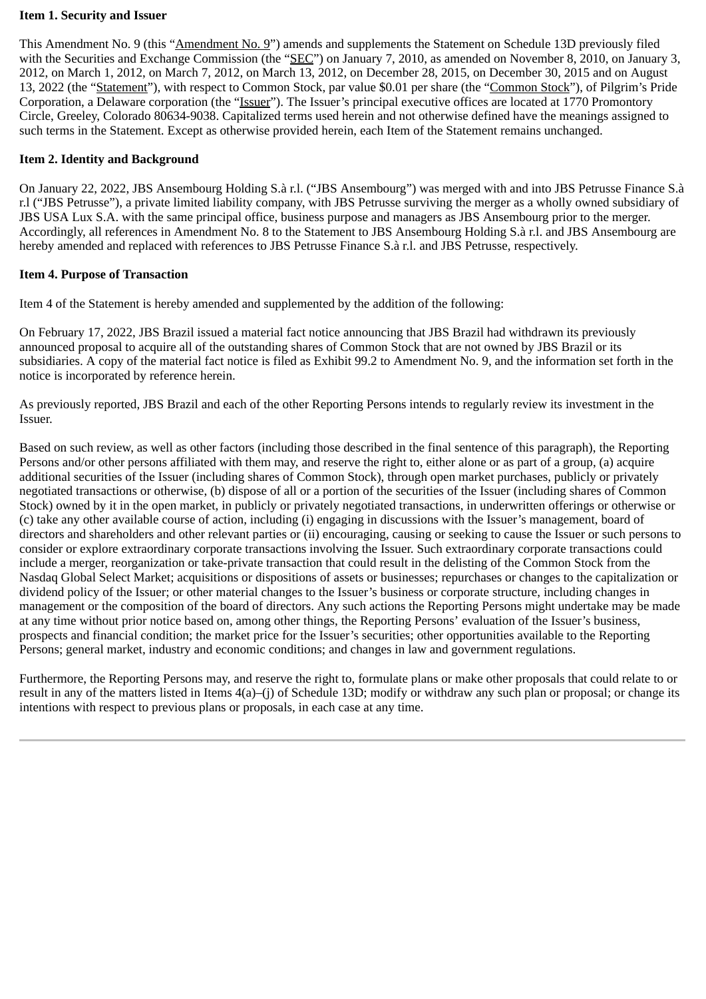### **Item 1. Security and Issuer**

This Amendment No. 9 (this "Amendment No. 9") amends and supplements the Statement on Schedule 13D previously filed with the Securities and Exchange Commission (the "SEC") on January 7, 2010, as amended on November 8, 2010, on January 3, 2012, on March 1, 2012, on March 7, 2012, on March 13, 2012, on December 28, 2015, on December 30, 2015 and on August 13, 2022 (the "Statement"), with respect to Common Stock, par value \$0.01 per share (the "Common Stock"), of Pilgrim's Pride Corporation, a Delaware corporation (the "Issuer"). The Issuer's principal executive offices are located at 1770 Promontory Circle, Greeley, Colorado 80634-9038. Capitalized terms used herein and not otherwise defined have the meanings assigned to such terms in the Statement. Except as otherwise provided herein, each Item of the Statement remains unchanged.

### **Item 2. Identity and Background**

On January 22, 2022, JBS Ansembourg Holding S.à r.l. ("JBS Ansembourg") was merged with and into JBS Petrusse Finance S.à r.l ("JBS Petrusse"), a private limited liability company, with JBS Petrusse surviving the merger as a wholly owned subsidiary of JBS USA Lux S.A. with the same principal office, business purpose and managers as JBS Ansembourg prior to the merger. Accordingly, all references in Amendment No. 8 to the Statement to JBS Ansembourg Holding S.à r.l. and JBS Ansembourg are hereby amended and replaced with references to JBS Petrusse Finance S.à r.l. and JBS Petrusse, respectively.

### **Item 4. Purpose of Transaction**

Item 4 of the Statement is hereby amended and supplemented by the addition of the following:

On February 17, 2022, JBS Brazil issued a material fact notice announcing that JBS Brazil had withdrawn its previously announced proposal to acquire all of the outstanding shares of Common Stock that are not owned by JBS Brazil or its subsidiaries. A copy of the material fact notice is filed as Exhibit 99.2 to Amendment No. 9, and the information set forth in the notice is incorporated by reference herein.

As previously reported, JBS Brazil and each of the other Reporting Persons intends to regularly review its investment in the Issuer.

Based on such review, as well as other factors (including those described in the final sentence of this paragraph), the Reporting Persons and/or other persons affiliated with them may, and reserve the right to, either alone or as part of a group, (a) acquire additional securities of the Issuer (including shares of Common Stock), through open market purchases, publicly or privately negotiated transactions or otherwise, (b) dispose of all or a portion of the securities of the Issuer (including shares of Common Stock) owned by it in the open market, in publicly or privately negotiated transactions, in underwritten offerings or otherwise or (c) take any other available course of action, including (i) engaging in discussions with the Issuer's management, board of directors and shareholders and other relevant parties or (ii) encouraging, causing or seeking to cause the Issuer or such persons to consider or explore extraordinary corporate transactions involving the Issuer. Such extraordinary corporate transactions could include a merger, reorganization or take-private transaction that could result in the delisting of the Common Stock from the Nasdaq Global Select Market; acquisitions or dispositions of assets or businesses; repurchases or changes to the capitalization or dividend policy of the Issuer; or other material changes to the Issuer's business or corporate structure, including changes in management or the composition of the board of directors. Any such actions the Reporting Persons might undertake may be made at any time without prior notice based on, among other things, the Reporting Persons' evaluation of the Issuer's business, prospects and financial condition; the market price for the Issuer's securities; other opportunities available to the Reporting Persons; general market, industry and economic conditions; and changes in law and government regulations.

Furthermore, the Reporting Persons may, and reserve the right to, formulate plans or make other proposals that could relate to or result in any of the matters listed in Items 4(a)–(j) of Schedule 13D; modify or withdraw any such plan or proposal; or change its intentions with respect to previous plans or proposals, in each case at any time.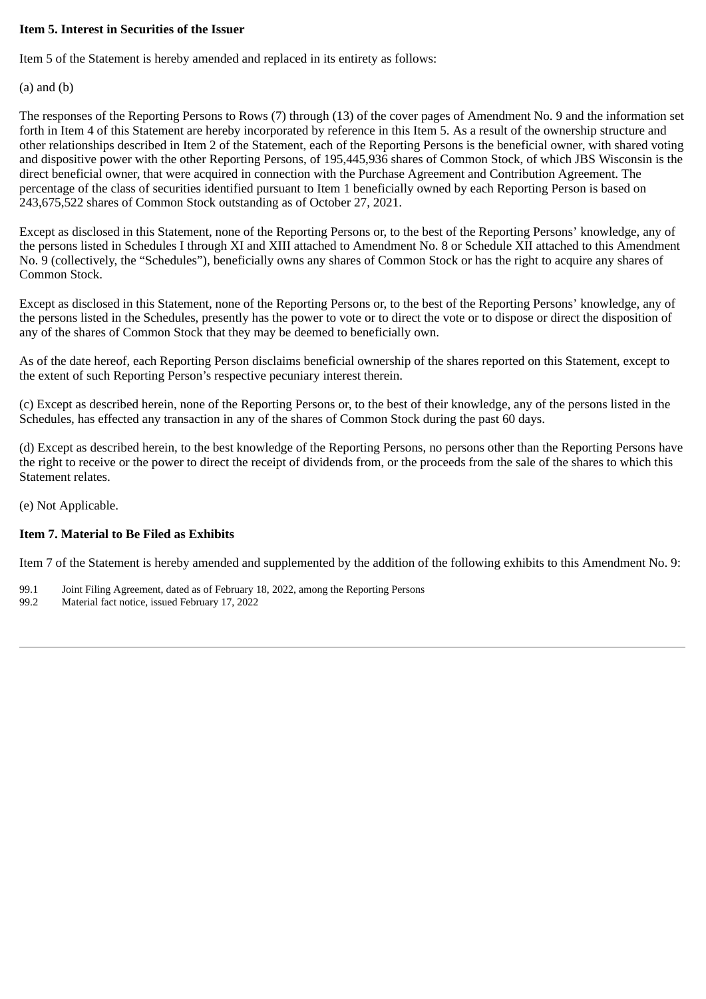### **Item 5. Interest in Securities of the Issuer**

Item 5 of the Statement is hereby amended and replaced in its entirety as follows:

(a) and (b)

The responses of the Reporting Persons to Rows (7) through (13) of the cover pages of Amendment No. 9 and the information set forth in Item 4 of this Statement are hereby incorporated by reference in this Item 5. As a result of the ownership structure and other relationships described in Item 2 of the Statement, each of the Reporting Persons is the beneficial owner, with shared voting and dispositive power with the other Reporting Persons, of 195,445,936 shares of Common Stock, of which JBS Wisconsin is the direct beneficial owner, that were acquired in connection with the Purchase Agreement and Contribution Agreement. The percentage of the class of securities identified pursuant to Item 1 beneficially owned by each Reporting Person is based on 243,675,522 shares of Common Stock outstanding as of October 27, 2021.

Except as disclosed in this Statement, none of the Reporting Persons or, to the best of the Reporting Persons' knowledge, any of the persons listed in Schedules I through XI and XIII attached to Amendment No. 8 or Schedule XII attached to this Amendment No. 9 (collectively, the "Schedules"), beneficially owns any shares of Common Stock or has the right to acquire any shares of Common Stock.

Except as disclosed in this Statement, none of the Reporting Persons or, to the best of the Reporting Persons' knowledge, any of the persons listed in the Schedules, presently has the power to vote or to direct the vote or to dispose or direct the disposition of any of the shares of Common Stock that they may be deemed to beneficially own.

As of the date hereof, each Reporting Person disclaims beneficial ownership of the shares reported on this Statement, except to the extent of such Reporting Person's respective pecuniary interest therein.

(c) Except as described herein, none of the Reporting Persons or, to the best of their knowledge, any of the persons listed in the Schedules, has effected any transaction in any of the shares of Common Stock during the past 60 days.

(d) Except as described herein, to the best knowledge of the Reporting Persons, no persons other than the Reporting Persons have the right to receive or the power to direct the receipt of dividends from, or the proceeds from the sale of the shares to which this Statement relates.

(e) Not Applicable.

### **Item 7. Material to Be Filed as Exhibits**

Item 7 of the Statement is hereby amended and supplemented by the addition of the following exhibits to this Amendment No. 9:

- 99.1 Joint Filing Agreement, dated as of February 18, 2022, among the Reporting Persons
- 99.2 Material fact notice, issued February 17, 2022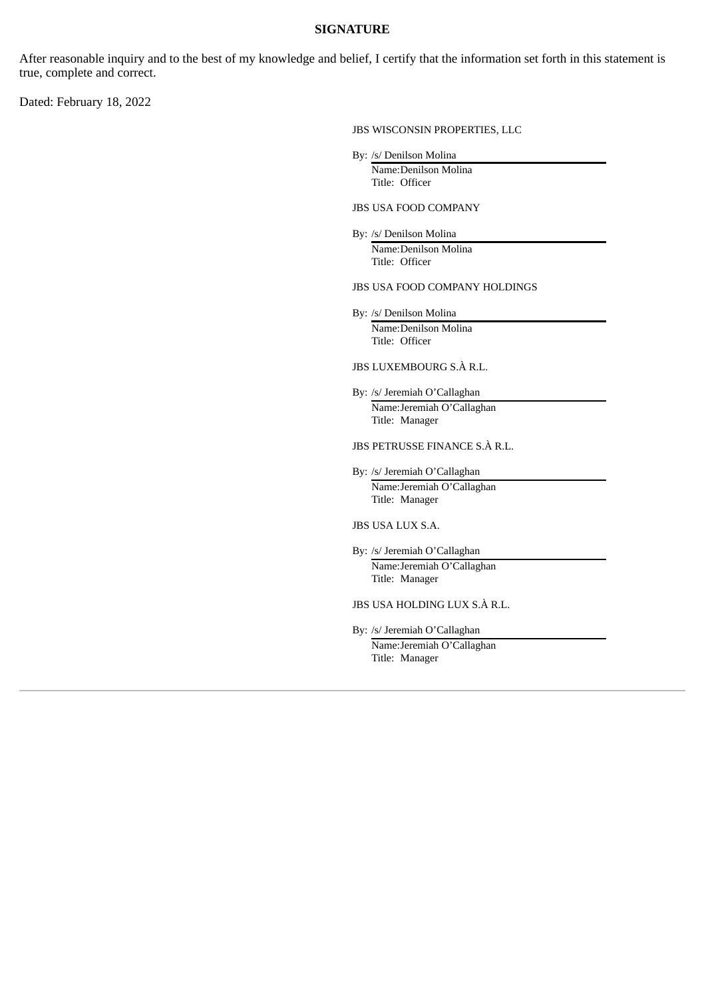#### **SIGNATURE**

After reasonable inquiry and to the best of my knowledge and belief, I certify that the information set forth in this statement is true, complete and correct.

Dated: February 18, 2022

JBS WISCONSIN PROPERTIES, LLC

By: /s/ Denilson Molina

Name:Denilson Molina Title: Officer

JBS USA FOOD COMPANY

By: /s/ Denilson Molina Name:Denilson Molina Title: Officer

JBS USA FOOD COMPANY HOLDINGS

By: /s/ Denilson Molina Name:Denilson Molina Title: Officer

JBS LUXEMBOURG S.À R.L.

By: /s/ Jeremiah O'Callaghan Name:Jeremiah O'Callaghan Title: Manager

JBS PETRUSSE FINANCE S.À R.L.

By: /s/ Jeremiah O'Callaghan Name:Jeremiah O'Callaghan Title: Manager

JBS USA LUX S.A.

By: /s/ Jeremiah O'Callaghan Name:Jeremiah O'Callaghan Title: Manager

JBS USA HOLDING LUX S.À R.L.

By: /s/ Jeremiah O'Callaghan

Name:Jeremiah O'Callaghan Title: Manager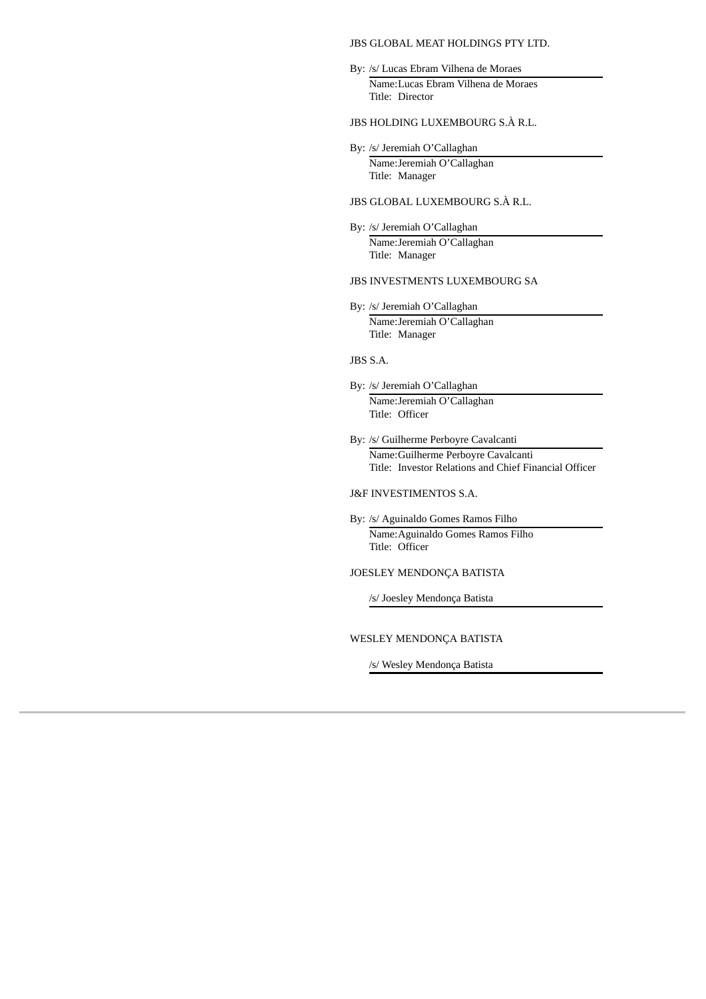JBS GLOBAL MEAT HOLDINGS PTY LTD.

- By: /s/ Lucas Ebram Vilhena de Moraes Name:Lucas Ebram Vilhena de Moraes Title: Director
- JBS HOLDING LUXEMBOURG S.À R.L.
- By: /s/ Jeremiah O'Callaghan Name:Jeremiah O'Callaghan Title: Manager
- JBS GLOBAL LUXEMBOURG S.À R.L.
- By: /s/ Jeremiah O'Callaghan Name:Jeremiah O'Callaghan Title: Manager

#### JBS INVESTMENTS LUXEMBOURG SA

By: /s/ Jeremiah O'Callaghan Name:Jeremiah O'Callaghan Title: Manager

#### JBS S.A.

- By: /s/ Jeremiah O'Callaghan Name:Jeremiah O'Callaghan Title: Officer
- By: /s/ Guilherme Perboyre Cavalcanti

Name:Guilherme Perboyre Cavalcanti Title: Investor Relations and Chief Financial Officer

#### J&F INVESTIMENTOS S.A.

By: /s/ Aguinaldo Gomes Ramos Filho Name:Aguinaldo Gomes Ramos Filho Title: Officer

#### JOESLEY MENDONÇA BATISTA

/s/ Joesley Mendonça Batista

#### WESLEY MENDONÇA BATISTA

/s/ Wesley Mendonça Batista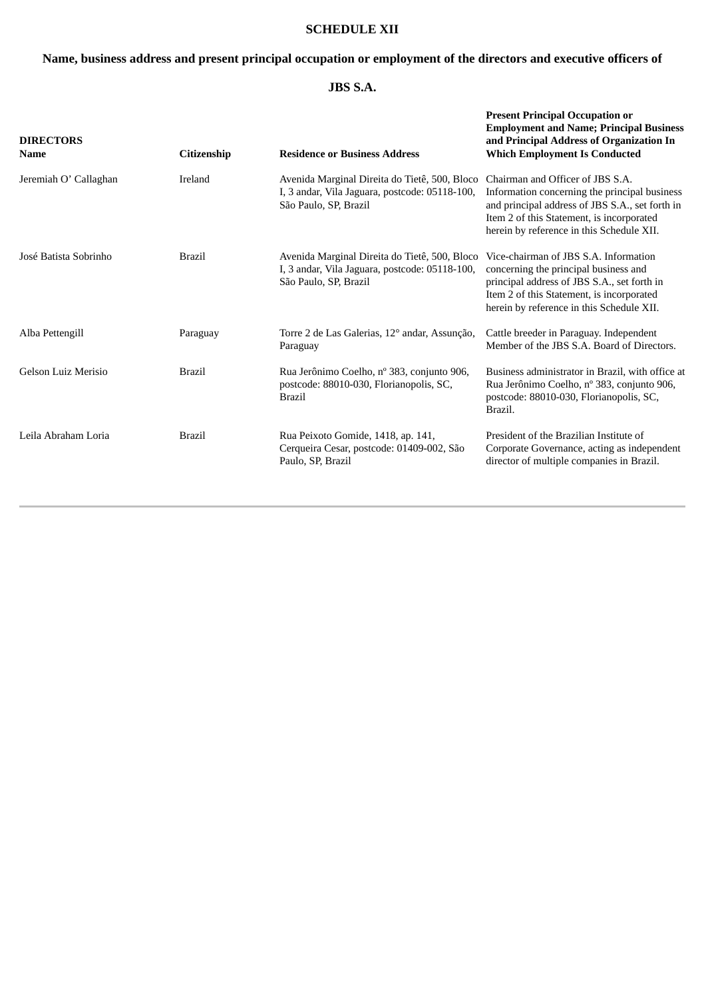### **SCHEDULE XII**

### **Name, business address and present principal occupation or employment of the directors and executive officers of**

### **JBS S.A.**

| <b>DIRECTORS</b><br><b>Name</b> | Citizenship   | <b>Residence or Business Address</b>                                                                                     | <b>Present Principal Occupation or</b><br><b>Employment and Name; Principal Business</b><br>and Principal Address of Organization In<br><b>Which Employment Is Conducted</b>                                                   |
|---------------------------------|---------------|--------------------------------------------------------------------------------------------------------------------------|--------------------------------------------------------------------------------------------------------------------------------------------------------------------------------------------------------------------------------|
| Jeremiah O' Callaghan           | Ireland       | Avenida Marginal Direita do Tietê, 500, Bloco<br>I, 3 andar, Vila Jaguara, postcode: 05118-100,<br>São Paulo, SP, Brazil | Chairman and Officer of JBS S.A.<br>Information concerning the principal business<br>and principal address of JBS S.A., set forth in<br>Item 2 of this Statement, is incorporated<br>herein by reference in this Schedule XII. |
| José Batista Sobrinho           | <b>Brazil</b> | Avenida Marginal Direita do Tietê, 500, Bloco<br>I, 3 andar, Vila Jaguara, postcode: 05118-100,<br>São Paulo, SP, Brazil | Vice-chairman of JBS S.A. Information<br>concerning the principal business and<br>principal address of JBS S.A., set forth in<br>Item 2 of this Statement, is incorporated<br>herein by reference in this Schedule XII.        |
| Alba Pettengill                 | Paraguay      | Torre 2 de Las Galerias, 12° andar, Assunção,<br>Paraguay                                                                | Cattle breeder in Paraguay. Independent<br>Member of the JBS S.A. Board of Directors.                                                                                                                                          |
| Gelson Luiz Merisio             | <b>Brazil</b> | Rua Jerônimo Coelho, nº 383, conjunto 906,<br>postcode: 88010-030, Florianopolis, SC,<br><b>Brazil</b>                   | Business administrator in Brazil, with office at<br>Rua Jerônimo Coelho, nº 383, conjunto 906,<br>postcode: 88010-030, Florianopolis, SC,<br>Brazil.                                                                           |
| Leila Abraham Loria             | <b>Brazil</b> | Rua Peixoto Gomide, 1418, ap. 141,<br>Cerqueira Cesar, postcode: 01409-002, São<br>Paulo, SP, Brazil                     | President of the Brazilian Institute of<br>Corporate Governance, acting as independent<br>director of multiple companies in Brazil.                                                                                            |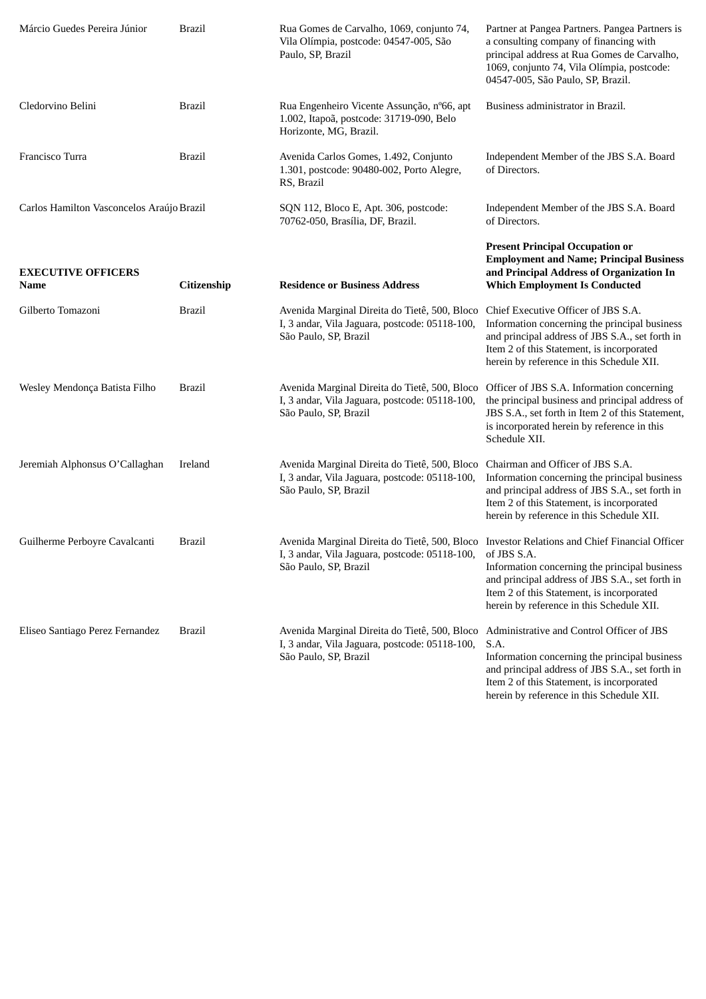| Márcio Guedes Pereira Júnior              | <b>Brazil</b> | Rua Gomes de Carvalho, 1069, conjunto 74,<br>Vila Olímpia, postcode: 04547-005, São<br>Paulo, SP, Brazil                                                                | Partner at Pangea Partners. Pangea Partners is<br>a consulting company of financing with<br>principal address at Rua Gomes de Carvalho,<br>1069, conjunto 74, Vila Olímpia, postcode:<br>04547-005, São Paulo, SP, Brazil.                      |
|-------------------------------------------|---------------|-------------------------------------------------------------------------------------------------------------------------------------------------------------------------|-------------------------------------------------------------------------------------------------------------------------------------------------------------------------------------------------------------------------------------------------|
| Cledorvino Belini                         | <b>Brazil</b> | Rua Engenheiro Vicente Assunção, nº66, apt<br>1.002, Itapoã, postcode: 31719-090, Belo<br>Horizonte, MG, Brazil.                                                        | Business administrator in Brazil.                                                                                                                                                                                                               |
| Francisco Turra                           | Brazil        | Avenida Carlos Gomes, 1.492, Conjunto<br>1.301, postcode: 90480-002, Porto Alegre,<br>RS, Brazil                                                                        | Independent Member of the JBS S.A. Board<br>of Directors.                                                                                                                                                                                       |
| Carlos Hamilton Vasconcelos Araújo Brazil |               | SQN 112, Bloco E, Apt. 306, postcode:<br>70762-050, Brasília, DF, Brazil.                                                                                               | Independent Member of the JBS S.A. Board<br>of Directors.                                                                                                                                                                                       |
| <b>EXECUTIVE OFFICERS</b><br>Name         | Citizenship   | <b>Residence or Business Address</b>                                                                                                                                    | <b>Present Principal Occupation or</b><br><b>Employment and Name; Principal Business</b><br>and Principal Address of Organization In<br><b>Which Employment Is Conducted</b>                                                                    |
| Gilberto Tomazoni                         | <b>Brazil</b> | Avenida Marginal Direita do Tietê, 500, Bloco<br>I, 3 andar, Vila Jaguara, postcode: 05118-100,<br>São Paulo, SP, Brazil                                                | Chief Executive Officer of JBS S.A.<br>Information concerning the principal business<br>and principal address of JBS S.A., set forth in<br>Item 2 of this Statement, is incorporated<br>herein by reference in this Schedule XII.               |
| Wesley Mendonça Batista Filho             | <b>Brazil</b> | Avenida Marginal Direita do Tietê, 500, Bloco<br>I, 3 andar, Vila Jaguara, postcode: 05118-100,<br>São Paulo, SP, Brazil                                                | Officer of JBS S.A. Information concerning<br>the principal business and principal address of<br>JBS S.A., set forth in Item 2 of this Statement,<br>is incorporated herein by reference in this<br>Schedule XII.                               |
| Jeremiah Alphonsus O'Callaghan            | Ireland       | Avenida Marginal Direita do Tietê, 500, Bloco<br>I, 3 andar, Vila Jaguara, postcode: 05118-100,<br>São Paulo, SP, Brazil                                                | Chairman and Officer of JBS S.A.<br>Information concerning the principal business<br>and principal address of JBS S.A., set forth in<br>Item 2 of this Statement, is incorporated<br>herein by reference in this Schedule XII.                  |
| Guilherme Perboyre Cavalcanti             | Brazil        | Avenida Marginal Direita do Tietê, 500, Bloco Investor Relations and Chief Financial Officer<br>I, 3 andar, Vila Jaguara, postcode: 05118-100,<br>São Paulo, SP, Brazil | of JBS S.A.<br>Information concerning the principal business<br>and principal address of JBS S.A., set forth in<br>Item 2 of this Statement, is incorporated<br>herein by reference in this Schedule XII.                                       |
| Eliseo Santiago Perez Fernandez           | <b>Brazil</b> | Avenida Marginal Direita do Tietê, 500, Bloco<br>I, 3 andar, Vila Jaguara, postcode: 05118-100,<br>São Paulo, SP, Brazil                                                | Administrative and Control Officer of JBS<br>S.A.<br>Information concerning the principal business<br>and principal address of JBS S.A., set forth in<br>Item 2 of this Statement, is incorporated<br>herein by reference in this Schedule XII. |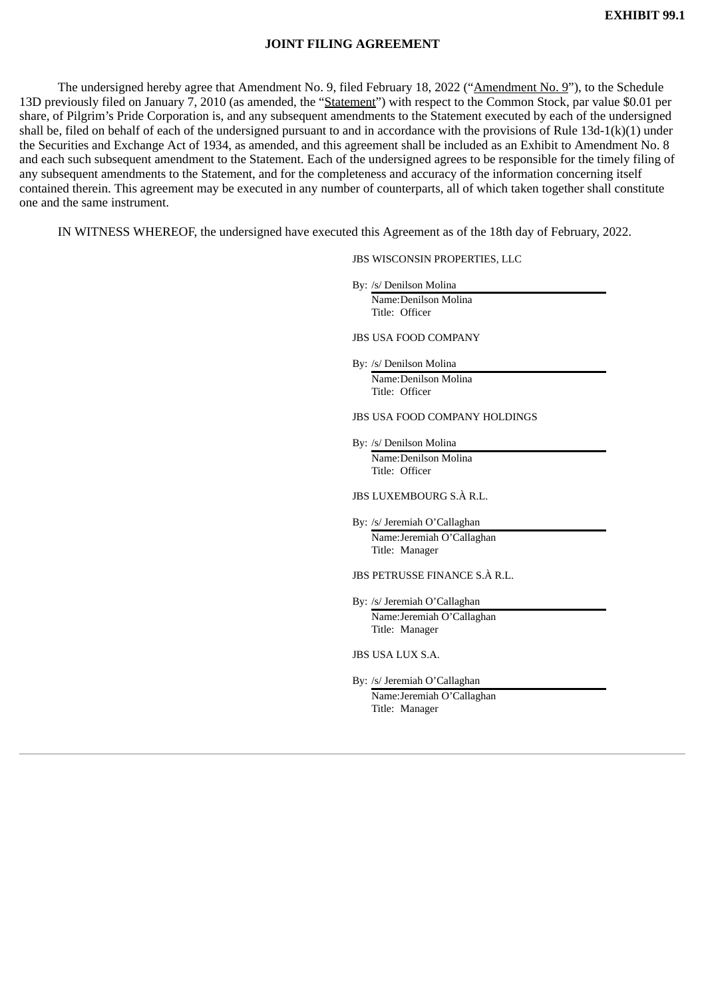#### **JOINT FILING AGREEMENT**

The undersigned hereby agree that Amendment No. 9, filed February 18, 2022 ("Amendment No. 9"), to the Schedule 13D previously filed on January 7, 2010 (as amended, the "Statement") with respect to the Common Stock, par value \$0.01 per share, of Pilgrim's Pride Corporation is, and any subsequent amendments to the Statement executed by each of the undersigned shall be, filed on behalf of each of the undersigned pursuant to and in accordance with the provisions of Rule 13d-1(k)(1) under the Securities and Exchange Act of 1934, as amended, and this agreement shall be included as an Exhibit to Amendment No. 8 and each such subsequent amendment to the Statement. Each of the undersigned agrees to be responsible for the timely filing of any subsequent amendments to the Statement, and for the completeness and accuracy of the information concerning itself contained therein. This agreement may be executed in any number of counterparts, all of which taken together shall constitute one and the same instrument.

IN WITNESS WHEREOF, the undersigned have executed this Agreement as of the 18th day of February, 2022.

JBS WISCONSIN PROPERTIES, LLC

By: /s/ Denilson Molina

Name:Denilson Molina Title: Officer

JBS USA FOOD COMPANY

By: /s/ Denilson Molina Name:Denilson Molina Title: Officer

JBS USA FOOD COMPANY HOLDINGS

By: /s/ Denilson Molina Name:Denilson Molina Title: Officer

JBS LUXEMBOURG S.À R.L.

By: /s/ Jeremiah O'Callaghan Name:Jeremiah O'Callaghan Title: Manager

JBS PETRUSSE FINANCE S.À R.L.

By: /s/ Jeremiah O'Callaghan Name:Jeremiah O'Callaghan Title: Manager

JBS USA LUX S.A.

By: /s/ Jeremiah O'Callaghan Name:Jeremiah O'Callaghan Title: Manager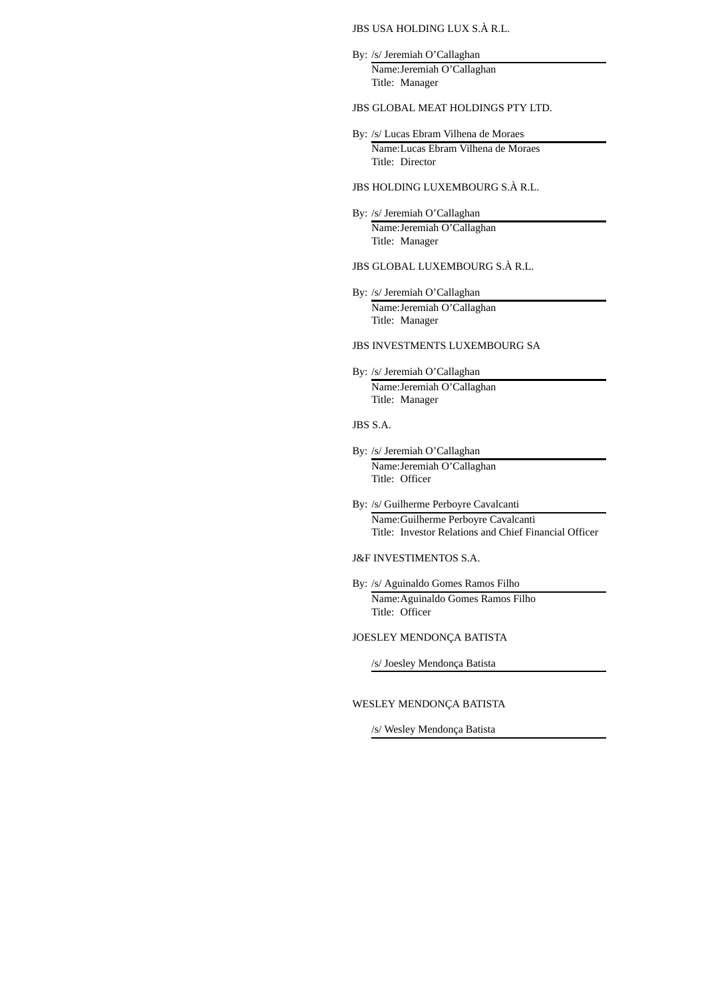#### JBS USA HOLDING LUX S.À R.L.

By: /s/ Jeremiah O'Callaghan Name:Jeremiah O'Callaghan Title: Manager

#### JBS GLOBAL MEAT HOLDINGS PTY LTD.

By: /s/ Lucas Ebram Vilhena de Moraes

Name:Lucas Ebram Vilhena de Moraes Title: Director

- JBS HOLDING LUXEMBOURG S.À R.L.
- By: /s/ Jeremiah O'Callaghan Name:Jeremiah O'Callaghan Title: Manager
- JBS GLOBAL LUXEMBOURG S.À R.L.
- By: /s/ Jeremiah O'Callaghan Name:Jeremiah O'Callaghan Title: Manager

#### JBS INVESTMENTS LUXEMBOURG SA

- By: /s/ Jeremiah O'Callaghan Name:Jeremiah O'Callaghan Title: Manager
- JBS S.A.
- By: /s/ Jeremiah O'Callaghan Name:Jeremiah O'Callaghan Title: Officer
- By: /s/ Guilherme Perboyre Cavalcanti Name:Guilherme Perboyre Cavalcanti Title: Investor Relations and Chief Financial Officer
- J&F INVESTIMENTOS S.A.
- By: /s/ Aguinaldo Gomes Ramos Filho Name:Aguinaldo Gomes Ramos Filho Title: Officer

JOESLEY MENDONÇA BATISTA

/s/ Joesley Mendonça Batista

#### WESLEY MENDONÇA BATISTA

/s/ Wesley Mendonça Batista